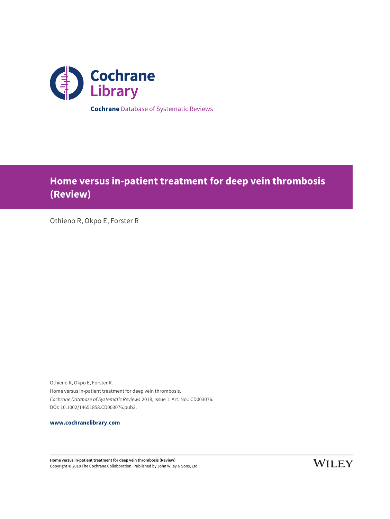

**Home versus in-patient treatment for deep vein thrombosis (Review)**

Othieno R, Okpo E, Forster R

Othieno R, Okpo E, Forster R. Home versus in-patient treatment for deep vein thrombosis. Cochrane Database of Systematic Reviews 2018, Issue 1. Art. No.: CD003076. DOI: 10.1002/14651858.CD003076.pub3.

**[www.cochranelibrary.com](http://www.cochranelibrary.com)**

**Home versus in-patient treatment for deep vein thrombosis (Review)** Copyright © 2018 The Cochrane Collaboration. Published by John Wiley & Sons, Ltd.

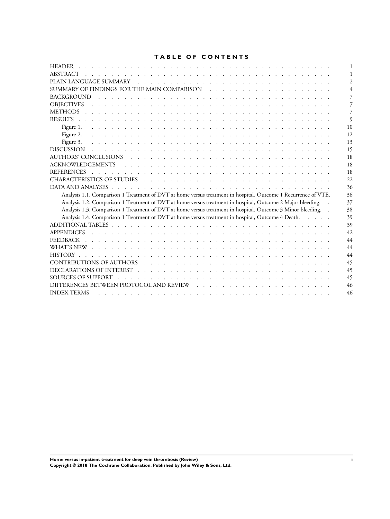## **TABLE OF CONTENTS**

| ABSTRACT                                                                                                                                                                                                                                                  |    |
|-----------------------------------------------------------------------------------------------------------------------------------------------------------------------------------------------------------------------------------------------------------|----|
|                                                                                                                                                                                                                                                           |    |
|                                                                                                                                                                                                                                                           |    |
| <b>BACKGROUND</b><br><u>. In the second contract of the second contract of the second contract of the second contract of the second contract of the second contract of the second contract of the second contract of the second contract of the secon</u> |    |
| <b>OBJECTIVES</b><br><u>. In the second contract of the second contract of the second contract of the second</u>                                                                                                                                          |    |
|                                                                                                                                                                                                                                                           |    |
|                                                                                                                                                                                                                                                           | q  |
| Figure 1.                                                                                                                                                                                                                                                 | 10 |
|                                                                                                                                                                                                                                                           | 12 |
|                                                                                                                                                                                                                                                           | 13 |
|                                                                                                                                                                                                                                                           | 15 |
|                                                                                                                                                                                                                                                           | 18 |
|                                                                                                                                                                                                                                                           | 18 |
| and the company of the company of the company of the company of the company of the company of the company of th<br><b>REFERENCES</b>                                                                                                                      | 18 |
|                                                                                                                                                                                                                                                           | 22 |
|                                                                                                                                                                                                                                                           | 36 |
| Analysis 1.1. Comparison 1 Treatment of DVT at home versus treatment in hospital, Outcome 1 Recurrence of VTE.                                                                                                                                            | 36 |
| Analysis 1.2. Comparison 1 Treatment of DVT at home versus treatment in hospital, Outcome 2 Major bleeding.                                                                                                                                               | 37 |
| Analysis 1.3. Comparison 1 Treatment of DVT at home versus treatment in hospital, Outcome 3 Minor bleeding. .                                                                                                                                             | 38 |
| Analysis 1.4. Comparison 1 Treatment of DVT at home versus treatment in hospital, Outcome 4 Death.                                                                                                                                                        | 39 |
|                                                                                                                                                                                                                                                           | 39 |
|                                                                                                                                                                                                                                                           | 42 |
|                                                                                                                                                                                                                                                           | 44 |
|                                                                                                                                                                                                                                                           | 44 |
|                                                                                                                                                                                                                                                           | 44 |
|                                                                                                                                                                                                                                                           | 45 |
|                                                                                                                                                                                                                                                           | 45 |
|                                                                                                                                                                                                                                                           | 45 |
|                                                                                                                                                                                                                                                           | 46 |
| <b>INDEX TERMS</b>                                                                                                                                                                                                                                        | 46 |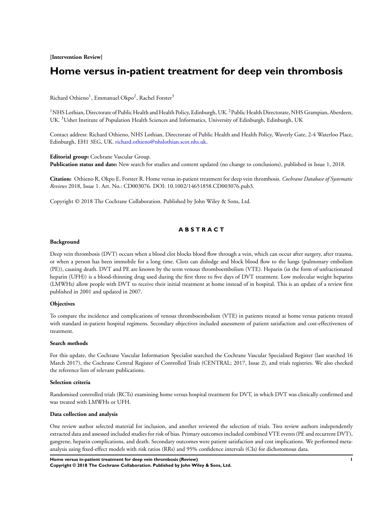**[Intervention Review]**

# **Home versus in-patient treatment for deep vein thrombosis**

Richard Othieno<sup>1</sup>, Emmanuel Okpo<sup>2</sup>, Rachel Forster<sup>3</sup>

 $1$ NHS Lothian, Directorate of Public Health and Health Policy, Edinburgh, UK.  $2$ Public Health Directorate, NHS Grampian, Aberdeen, UK. <sup>3</sup>Usher Institute of Population Health Sciences and Informatics, University of Edinburgh, Edinburgh, UK

Contact address: Richard Othieno, NHS Lothian, Directorate of Public Health and Health Policy, Waverly Gate, 2-4 Waterloo Place, Edinburgh, EH1 3EG, UK. [richard.othieno@nhslothian.scot.nhs.uk.](mailto:richard.othieno@nhslothian.scot.nhs.uk)

**Editorial group:** Cochrane Vascular Group. **Publication status and date:** New search for studies and content updated (no change to conclusions), published in Issue 1, 2018.

**Citation:** Othieno R, Okpo E, Forster R. Home versus in-patient treatment for deep vein thrombosis. *Cochrane Database of Systematic Reviews* 2018, Issue 1. Art. No.: CD003076. DOI: 10.1002/14651858.CD003076.pub3.

Copyright © 2018 The Cochrane Collaboration. Published by John Wiley & Sons, Ltd.

## **A B S T R A C T**

#### **Background**

Deep vein thrombosis (DVT) occurs when a blood clot blocks blood flow through a vein, which can occur after surgery, after trauma, or when a person has been immobile for a long time. Clots can dislodge and block blood flow to the lungs (pulmonary embolism (PE)), causing death. DVT and PE are known by the term venous thromboembolism (VTE). Heparin (in the form of unfractionated heparin (UFH)) is a blood-thinning drug used during the first three to five days of DVT treatment. Low molecular weight heparins (LMWHs) allow people with DVT to receive their initial treatment at home instead of in hospital. This is an update of a review first published in 2001 and updated in 2007.

### **Objectives**

To compare the incidence and complications of venous thromboembolism (VTE) in patients treated at home versus patients treated with standard in-patient hospital regimens. Secondary objectives included assessment of patient satisfaction and cost-effectiveness of treatment.

#### **Search methods**

For this update, the Cochrane Vascular Information Specialist searched the Cochrane Vascular Specialised Register (last searched 16 March 2017), the Cochrane Central Register of Controlled Trials (CENTRAL; 2017, Issue 2), and trials registries. We also checked the reference lists of relevant publications.

### **Selection criteria**

Randomised controlled trials (RCTs) examining home versus hospital treatment for DVT, in which DVT was clinically confirmed and was treated with LMWHs or UFH.

#### **Data collection and analysis**

One review author selected material for inclusion, and another reviewed the selection of trials. Two review authors independently extracted data and assessed included studies for risk of bias. Primary outcomes included combined VTE events (PE and recurrent DVT), gangrene, heparin complications, and death. Secondary outcomes were patient satisfaction and cost implications. We performed metaanalysis using fixed-effect models with risk ratios (RRs) and 95% confidence intervals (CIs) for dichotomous data.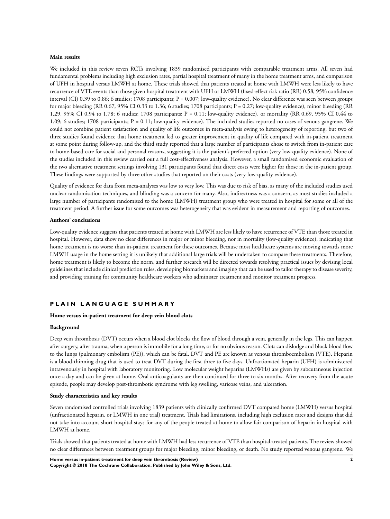### **Main results**

We included in this review seven RCTs involving 1839 randomised participants with comparable treatment arms. All seven had fundamental problems including high exclusion rates, partial hospital treatment of many in the home treatment arms, and comparison of UFH in hospital versus LMWH at home. These trials showed that patients treated at home with LMWH were less likely to have recurrence of VTE events than those given hospital treatment with UFH or LMWH (fixed-effect risk ratio (RR) 0.58, 95% confidence interval (CI) 0.39 to 0.86; 6 studies; 1708 participants; P = 0.007; low-quality evidence). No clear difference was seen between groups for major bleeding (RR 0.67, 95% CI 0.33 to 1.36; 6 studies; 1708 participants; P = 0.27; low-quality evidence), minor bleeding (RR 1.29, 95% CI 0.94 to 1.78; 6 studies; 1708 participants; P = 0.11; low-quality evidence), or mortality (RR 0.69, 95% CI 0.44 to 1.09; 6 studies; 1708 participants; P = 0.11; low-quality evidence). The included studies reported no cases of venous gangrene. We could not combine patient satisfaction and quality of life outcomes in meta-analysis owing to heterogeneity of reporting, but two of three studies found evidence that home treatment led to greater improvement in quality of life compared with in-patient treatment at some point during follow-up, and the third study reported that a large number of participants chose to switch from in-patient care to home-based care for social and personal reasons, suggesting it is the patient's preferred option (very low-quality evidence). None of the studies included in this review carried out a full cost-effectiveness analysis. However, a small randomised economic evaluation of the two alternative treatment settings involving 131 participants found that direct costs were higher for those in the in-patient group. These findings were supported by three other studies that reported on their costs (very low-quality evidence).

Quality of evidence for data from meta-analyses was low to very low. This was due to risk of bias, as many of the included studies used unclear randomisation techniques, and blinding was a concern for many. Also, indirectness was a concern, as most studies included a large number of participants randomised to the home (LMWH) treatment group who were treated in hospital for some or all of the treatment period. A further issue for some outcomes was heterogeneity that was evident in measurement and reporting of outcomes.

#### **Authors' conclusions**

Low-quality evidence suggests that patients treated at home with LMWH are less likely to have recurrence of VTE than those treated in hospital. However, data show no clear differences in major or minor bleeding, nor in mortality (low-quality evidence), indicating that home treatment is no worse than in-patient treatment for these outcomes. Because most healthcare systems are moving towards more LMWH usage in the home setting it is unlikely that additional large trials will be undertaken to compare these treatments. Therefore, home treatment is likely to become the norm, and further research will be directed towards resolving practical issues by devising local guidelines that include clinical prediction rules, developing biomarkers and imaging that can be used to tailor therapy to disease severity, and providing training for community healthcare workers who administer treatment and monitor treatment progress.

### **P L A I N L A N G U A G E S U M M A R Y**

#### **Home versus in-patient treatment for deep vein blood clots**

#### **Background**

Deep vein thrombosis (DVT) occurs when a blood clot blocks the flow of blood through a vein, generally in the legs. This can happen after surgery, after trauma, when a person is immobile for a long time, or for no obvious reason. Clots can dislodge and block blood flow to the lungs (pulmonary embolism (PE)), which can be fatal. DVT and PE are known as venous thromboembolism (VTE). Heparin is a blood-thinning drug that is used to treat DVT during the first three to five days. Unfractionated heparin (UFH) is administered intravenously in hospital with laboratory monitoring. Low molecular weight heparins (LMWHs) are given by subcutaneous injection once a day and can be given at home. Oral anticoagulants are then continued for three to six months. After recovery from the acute episode, people may develop post-thrombotic syndrome with leg swelling, varicose veins, and ulceration.

#### **Study characteristics and key results**

Seven randomised controlled trials involving 1839 patients with clinically confirmed DVT compared home (LMWH) versus hospital (unfractionated heparin, or LMWH in one trial) treatment. Trials had limitations, including high exclusion rates and designs that did not take into account short hospital stays for any of the people treated at home to allow fair comparison of heparin in hospital with LMWH at home.

Trials showed that patients treated at home with LMWH had less recurrence of VTE than hospital-treated patients. The review showed no clear differences between treatment groups for major bleeding, minor bleeding, or death. No study reported venous gangrene. We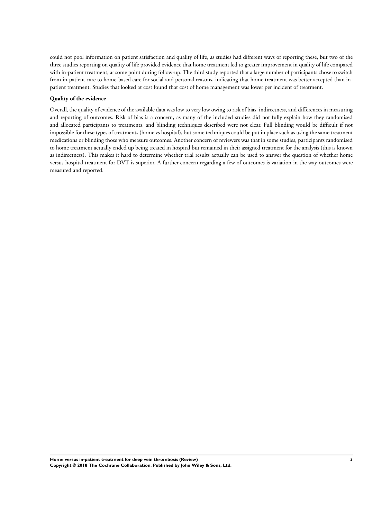could not pool information on patient satisfaction and quality of life, as studies had different ways of reporting these, but two of the three studies reporting on quality of life provided evidence that home treatment led to greater improvement in quality of life compared with in-patient treatment, at some point during follow-up. The third study reported that a large number of participants chose to switch from in-patient care to home-based care for social and personal reasons, indicating that home treatment was better accepted than inpatient treatment. Studies that looked at cost found that cost of home management was lower per incident of treatment.

#### **Quality of the evidence**

Overall, the quality of evidence of the available data was low to very low owing to risk of bias, indirectness, and differences in measuring and reporting of outcomes. Risk of bias is a concern, as many of the included studies did not fully explain how they randomised and allocated participants to treatments, and blinding techniques described were not clear. Full blinding would be difficult if not impossible for these types of treatments (home vs hospital), but some techniques could be put in place such as using the same treatment medications or blinding those who measure outcomes. Another concern of reviewers was that in some studies, participants randomised to home treatment actually ended up being treated in hospital but remained in their assigned treatment for the analysis (this is known as indirectness). This makes it hard to determine whether trial results actually can be used to answer the question of whether home versus hospital treatment for DVT is superior. A further concern regarding a few of outcomes is variation in the way outcomes were measured and reported.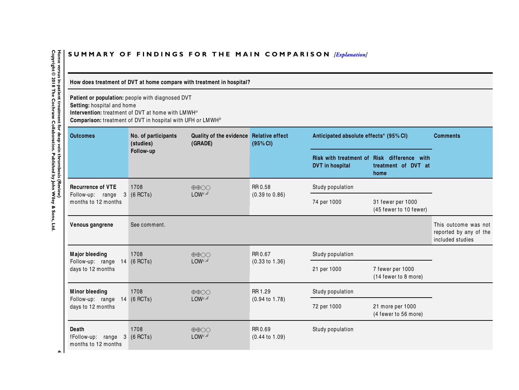# SUMMARY OF FINDINGS FOR THE MAIN COMPARISON *[\[Explanation\]](http://www.thecochranelibrary.com/view/0/SummaryFindings.html)*

## How does treatment of DVT at home compare with treatment in hospital?

**Patient or population:** people with diagnosed DVT

**Setting:** hospital and home

**Intervention:** treatment of DVT at home with  $LMWH^a$ 

 $\,$  Comparison: treatment of DVT in hospital with UFH or  $\,$  LMWH $^b$ 

| <b>Outcomes</b>                                                            | No. of participants<br>(studies) | Quality of the evidence Relative effect<br>(GRADE) | (95% CI)                             | Anticipated absolute effects* (95% CI)                  |                                                     | <b>Comments</b>                                                    |
|----------------------------------------------------------------------------|----------------------------------|----------------------------------------------------|--------------------------------------|---------------------------------------------------------|-----------------------------------------------------|--------------------------------------------------------------------|
|                                                                            | Follow-up                        |                                                    |                                      | <b>Risk with treatment of</b><br><b>DVT</b> in hospital | Risk difference with<br>treatment of DVT at<br>home |                                                                    |
| <b>Recurrence of VTE</b>                                                   | 1708                             | $\oplus \oplus \bigcirc \bigcirc$                  | RR 0.58                              | Study population                                        |                                                     |                                                                    |
| Follow-up: range<br>3<br>months to 12 months                               | $(6$ RCTs)                       | $LOW^{c,d}$                                        | $(0.39 \text{ to } 0.86)$            | 74 per 1000                                             | 31 fewer per 1000<br>(45 fewer to 10 fewer)         |                                                                    |
| Venous gangrene                                                            | See comment.                     |                                                    |                                      |                                                         |                                                     | This outcome was not<br>reported by any of the<br>included studies |
| <b>Major bleeding</b>                                                      | 1708                             | $\oplus \oplus \bigcirc \bigcirc$                  | RR 0.67                              | Study population                                        |                                                     |                                                                    |
| Follow-up: range<br>days to 12 months                                      | 14 (6 RCTs)                      | $LOW^{c,d}$                                        | $(0.33 \text{ to } 1.36)$            | 21 per 1000                                             | 7 fewer per 1000<br>(14 fewer to 8 more)            |                                                                    |
| <b>Minor bleeding</b>                                                      | 1708                             | $\oplus \oplus \bigcirc \bigcirc$                  | RR 1.29                              | Study population                                        |                                                     |                                                                    |
| Follow-up: range<br>days to 12 months                                      | 14 (6 RCTs)                      | $LOW^{c,d}$                                        | $(0.94 \text{ to } 1.78)$            | 72 per 1000                                             | 21 more per 1000<br>(4 fewer to 56 more)            |                                                                    |
| <b>Death</b><br>fFollow-up: range<br>3 <sup>1</sup><br>months to 12 months | 1708<br>$(6$ RCTs)               | $\oplus \oplus \bigcirc \bigcirc$<br>$LOW^{c,d}$   | RR 0.69<br>$(0.44 \text{ to } 1.09)$ | Study population                                        |                                                     |                                                                    |

<span id="page-5-0"></span>Home versus in-patient treatment for deep vein thrombosis (Review)<br>Copyright © 2018 The Cochrane Collaboration. Published by John Wiley & Sons, Ltd. **Copyright © 2018 The Cochrane Collaboration. Published by John Wiley & Sons, Ltd.4 Home versus in-patient treatment for deep vein thrombosis (Review)**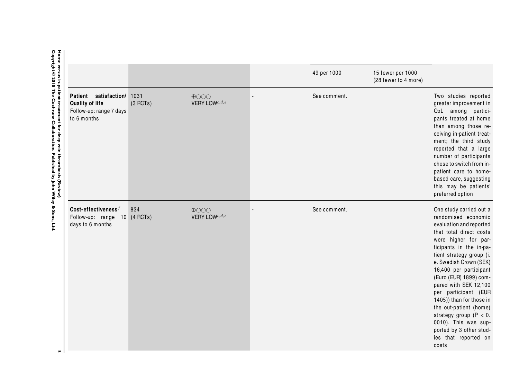|                                                                                                                                                         |                                                                                       |                  |                                  | 49 per 1000  | 15 fewer per 1000<br>(28 fewer to 4 more) |                                                                                                                                                                                                                                                                                                                                                                                                                                                                                            |
|---------------------------------------------------------------------------------------------------------------------------------------------------------|---------------------------------------------------------------------------------------|------------------|----------------------------------|--------------|-------------------------------------------|--------------------------------------------------------------------------------------------------------------------------------------------------------------------------------------------------------------------------------------------------------------------------------------------------------------------------------------------------------------------------------------------------------------------------------------------------------------------------------------------|
| Home versus in-patient treatment for deep vein thrombosis (Review)<br>Copyright © 2018 The Cochrane Collaboration. Published by John Wiley & Sons, Ltd. | satisfaction/<br>Patient<br>Quality of life<br>Follow-up: range 7 days<br>to 6 months | 1031<br>(3 RCTs) | $\bigoplus$ OOO<br>VERY LOWc,d,e | See comment. |                                           | Two studies reported<br>greater improvement in<br>QoL among partici-<br>pants treated at home<br>than among those re-<br>ceiving in-patient treat-<br>ment; the third study<br>reported that a large<br>number of participants<br>chose to switch from in-<br>patient care to home-<br>based care, suggesting<br>this may be patients'<br>preferred option                                                                                                                                 |
| <b>u</b>                                                                                                                                                | Cost-effectiveness $^f$<br>Follow-up: range 10 (4 RCTs)<br>days to 6 months           | 834              | $\bigoplus$ OOO<br>VERY LOWc,d,e | See comment. |                                           | One study carried out a<br>randomised economic<br>evaluation and reported<br>that total direct costs<br>were higher for par-<br>ticipants in the in-pa-<br>tient strategy group (i.<br>e. Swedish Crown (SEK)<br>16,400 per participant<br>(Euro (EUR) 1899) com-<br>pared with SEK 12,100<br>per participant (EUR<br>1405)) than for those in<br>the out-patient (home)<br>strategy group ( $P < 0$ .<br>0010). This was sup-<br>ported by 3 other stud-<br>ies that reported on<br>costs |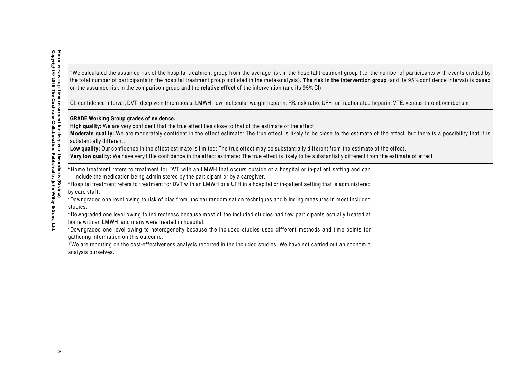\* We calculated the assumed risk of the hospital treatment group from the average risk in the hospital treatment group (i.e. the number of participants with events divided by the total number of participants in the hospital treatment group included in the meta-analysis). The risk in the intervention group (and its 95% confidence interval) is based on the assumed risk in the comparison group and the **relative effect** of the intervention (and its 95% CI).

CI: confidence interval; DVT: deep vein thrombosis; LMWH: low molecular weight heparin; RR: risk ratio; UFH: unfractionated heparin; VTE: venous thromboembolism

## **GRADE Working Group grades of evidence.**

High quality: We are very confident that the true effect lies close to that of the estimate of the effect.

Moderate quality: We are moderately confident in the effect estimate: The true effect is likely to be close to the estimate of the effect, but there is a possibility that it is substantially different.

Low quality: Our confidence in the effect estimate is limited: The true effect may be substantially different from the estimate of the effect.

**Very low quality:** We have very little confidence in the effect estimate: The true effect is likely to be substantially different from the estimate of effect

<sup>a</sup>Home treatment refers to treatment for DVT with an LMWH that occurs outside of a hospital or in-patient setting and can include the medication being administered by the participant or by a caregiver.

 $b$ Hospital treatment refers to treatment for DVT with an LMWH or a UFH in a hospital or in-patient setting that is administered by care staff.

<sup>c</sup>Downgraded one level owing to risk of bias from unclear random isation techniques and blinding measures in most included studies.

<sup>d</sup>Downgraded one level owing to indirectness because most of the included studies had few participants actually treated at home with an LMWH, and many were treated in hospital.

<sup>e</sup>Downgraded one level owing to heterogeneity because the included studies used different methods and time points for gathering information on this outcome.

 $^f$ We are reporting on the cost-effectiveness analysis reported in the included studies. We have not carried out an economic analysis ourselves.

 $\bullet$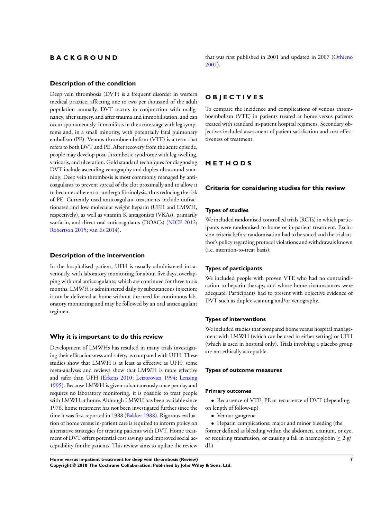## <span id="page-8-0"></span>**B A C K G R O U N D**

### **Description of the condition**

Deep vein thrombosis (DVT) is a frequent disorder in western medical practice, affecting one to two per thousand of the adult population annually. DVT occurs in conjunction with malignancy, after surgery, and after trauma and immobilisation, and can occur spontaneously. It manifests in the acute stage with leg symptoms and, in a small minority, with potentially fatal pulmonary embolism (PE). Venous thromboembolism (VTE) is a term that refers to both DVT and PE. After recovery from the acute episode, people may develop post-thrombotic syndrome with leg swelling, varicosis, and ulceration. Gold standard techniques for diagnosing DVT include ascending venography and duplex ultrasound scanning. Deep vein thrombosis is most commonly managed by anticoagulants to prevent spread of the clot proximally and to allow it to become adherent or undergo fibrinolysis, thus reducing the risk of PE. Currently used anticoagulant treatments include unfractionated and low molecular weight heparin (UFH and LMWH, respectively), as well as vitamin K antagonists (VKAs), primarily warfarin, and direct oral anticoagulants (DOACs) ([NICE 2012;](#page-19-0) [Robertson 2015](#page-19-0); [van Es 2014\)](#page-19-0).

### **Description of the intervention**

In the hospitalised patient, UFH is usually administered intravenously, with laboratory monitoring for about five days, overlapping with oral anticoagulants, which are continued for three to six months. LMWH is administered daily by subcutaneous injection; it can be delivered at home without the need for continuous laboratory monitoring and may be followed by an oral anticoagulant regimen.

#### **Why it is important to do this review**

Development of LMWHs has resulted in many trials investigating their efficaciousness and safety, as compared with UFH. These studies show that LMWH is at least as effective as UFH; some meta-analyses and reviews show that LMWH is more effective and safer than UFH ([Erkens 2010;](#page-19-0) [Leizorovicz 1994](#page-19-0); [Lensing](#page-19-0) [1995](#page-19-0)). Because LMWH is given subcutaneously once per day and requires no laboratory monitoring, it is possible to treat people with LMWH at home. Although LMWH has been available since 1976, home treatment has not been investigated further since the time it was first reported in 1988 ([Bakker 1988\)](#page-19-0). Rigorous evaluation of home versus in-patient care is required to inform policy on alternative strategies for treating patients with DVT. Home treatment of DVT offers potential cost savings and improved social acceptability for the patients. This review aims to update the review

that was first published in 2001 and updated in 2007 ([Othieno](#page-19-0) [2007](#page-19-0)).

## **O B J E C T I V E S**

To compare the incidence and complications of venous thromboembolism (VTE) in patients treated at home versus patients treated with standard in-patient hospital regimens. Secondary objectives included assessment of patient satisfaction and cost-effectiveness of treatment.

## **M E T H O D S**

### **Criteria for considering studies for this review**

#### **Types of studies**

We included randomised controlled trials (RCTs) in which participants were randomised to home or in-patient treatment. Exclusion criteria before randomisation had to be stated and the trial author's policy regarding protocol violations and withdrawals known (i.e. intention-to-treat basis).

#### **Types of participants**

We included people with proven VTE who had no contraindication to heparin therapy, and whose home circumstances were adequate. Participants had to present with objective evidence of DVT such as duplex scanning and/or venography.

#### **Types of interventions**

We included studies that compared home versus hospital management with LMWH (which can be used in either setting) or UFH (which is used in hospital only). Trials involving a placebo group are not ethically acceptable.

#### **Types of outcome measures**

#### **Primary outcomes**

- Recurrence of VTE: PE or recurrence of DVT (depending on length of follow-up)
	- Venous gangrene

• Heparin complications: major and minor bleeding (the former defined as bleeding within the abdomen, cranium, or eye, or requiring transfusion, or causing a fall in haemoglobin  $\geq 2$  g/ dL)

**Home versus in-patient treatment for deep vein thrombosis (Review) 7 Copyright © 2018 The Cochrane Collaboration. Published by John Wiley & Sons, Ltd.**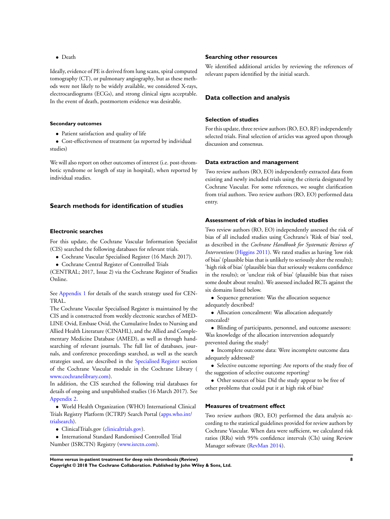• Death

Ideally, evidence of PE is derived from lung scans, spiral computed tomography (CT), or pulmonary angiography, but as these methods were not likely to be widely available, we considered X-rays, electrocardiograms (ECGs), and strong clinical signs acceptable. In the event of death, postmortem evidence was desirable.

#### **Secondary outcomes**

• Patient satisfaction and quality of life

• Cost-effectiveness of treatment (as reported by individual studies)

We will also report on other outcomes of interest (i.e. post-thrombotic syndrome or length of stay in hospital), when reported by individual studies.

### **Search methods for identification of studies**

#### **Electronic searches**

For this update, the Cochrane Vascular Information Specialist (CIS) searched the following databases for relevant trials.

- Cochrane Vascular Specialised Register (16 March 2017).
- Cochrane Central Register of Controlled Trials

(CENTRAL; 2017, Issue 2) via the Cochrane Register of Studies Online.

See [Appendix 1](#page-43-0) for details of the search strategy used for CEN-TRAL.

The Cochrane Vascular Specialised Register is maintained by the CIS and is constructed from weekly electronic searches of MED-LINE Ovid, Embase Ovid, the Cumulative Index to Nursing and Allied Health Literature (CINAHL), and the Allied and Complementary Medicine Database (AMED), as well as through handsearching of relevant journals. The full list of databases, journals, and conference proceedings searched, as well as the search strategies used, are described in the [Specialised Register](http://www.mrw.interscience.wiley.com/cochrane/clabout/articles/PVD/frame.html) section of the Cochrane Vascular module in the Cochrane Library ( [www.cochranelibrary.com\)](http://www.cochranelibrary.com/).

In addition, the CIS searched the following trial databases for details of ongoing and unpublished studies (16 March 2017). See [Appendix 2.](#page-45-0)

• World Health Organization (WHO) International Clinical Trials Registry Platform (ICTRP) Search Portal ([apps.who.int/](http://apps.who.int/trialsearch/) [trialsearch](http://apps.who.int/trialsearch/)).

- ClinicalTrials.gov ([clinicaltrials.gov\)](http://clinicaltrials.gov/).
- International Standard Randomised Controlled Trial Number (ISRCTN) Registry ([www.isrctn.com\)](http://www.isrctn.com/).

#### **Searching other resources**

We identified additional articles by reviewing the references of relevant papers identified by the initial search.

## **Data collection and analysis**

### **Selection of studies**

For this update, three review authors (RO, EO, RF) independently selected trials. Final selection of articles was agreed upon through discussion and consensus.

### **Data extraction and management**

Two review authors (RO, EO) independently extracted data from existing and newly included trials using the criteria designated by Cochrane Vascular. For some references, we sought clarification from trial authors. Two review authors (RO, EO) performed data entry.

### **Assessment of risk of bias in included studies**

Two review authors (RO, EO) independently assessed the risk of bias of all included studies using Cochrane's 'Risk of bias' tool, as described in the *Cochrane Handbook for Systematic Reviews of Interventions* [\(Higgins 2011\)](#page-19-0). We rated studies as having 'low risk of bias' (plausible bias that is unlikely to seriously alter the results); 'high risk of bias' (plausible bias that seriously weakens confidence in the results); or 'unclear risk of bias' (plausible bias that raises some doubt about results). We assessed included RCTs against the six domains listed below.

• Sequence generation: Was the allocation sequence adequately described?

• Allocation concealment: Was allocation adequately concealed?

• Blinding of participants, personnel, and outcome assessors: Was knowledge of the allocation intervention adequately prevented during the study?

• Incomplete outcome data: Were incomplete outcome data adequately addressed?

• Selective outcome reporting: Are reports of the study free of the suggestion of selective outcome reporting?

• Other sources of bias: Did the study appear to be free of other problems that could put it at high risk of bias?

### **Measures of treatment effect**

Two review authors (RO, EO) performed the data analysis according to the statistical guidelines provided for review authors by Cochrane Vascular. When data were sufficient, we calculated risk ratios (RRs) with 95% confidence intervals (CIs) using Review Manager software ([RevMan 2014\)](#page-19-0).

**Home versus in-patient treatment for deep vein thrombosis (Review) 8 Copyright © 2018 The Cochrane Collaboration. Published by John Wiley & Sons, Ltd.**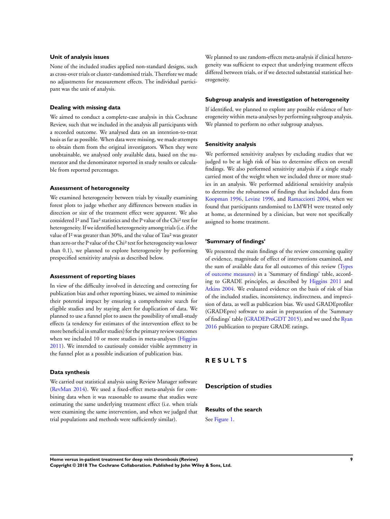### **Unit of analysis issues**

None of the included studies applied non-standard designs, such as cross-over trials or cluster-randomised trials. Therefore we made no adjustments for measurement effects. The individual participant was the unit of analysis.

### **Dealing with missing data**

We aimed to conduct a complete-case analysis in this Cochrane Review, such that we included in the analysis all participants with a recorded outcome. We analysed data on an intention-to-treat basis as far as possible. When data were missing, we made attempts to obtain them from the original investigators. When they were unobtainable, we analysed only available data, based on the numerator and the denominator reported in study results or calculable from reported percentages.

#### **Assessment of heterogeneity**

We examined heterogeneity between trials by visually examining forest plots to judge whether any differences between studies in direction or size of the treatment effect were apparent. We also considered I² and Tau² statistics and the P value of the Chi² test for heterogeneity. If we identified heterogeneity among trials(i.e. if the value of I² was greater than 30%, and the value of Tau² was greater than zero or the P value of the Chi² test for heterogeneity waslower than 0.1), we planned to explore heterogeneity by performing prespecified sensitivity analysis as described below.

#### **Assessment of reporting biases**

In view of the difficulty involved in detecting and correcting for publication bias and other reporting biases, we aimed to minimise their potential impact by ensuring a comprehensive search for eligible studies and by staying alert for duplication of data. We planned to use a funnel plot to assess the possibility of small-study effects (a tendency for estimates of the intervention effect to be more beneficial in smaller studies) for the primary review outcomes when we included 10 or more studies in meta-analyses ([Higgins](#page-19-0) [2011](#page-19-0)). We intended to cautiously consider visible asymmetry in the funnel plot as a possible indication of publication bias.

#### **Data synthesis**

We carried out statistical analysis using Review Manager software [\(RevMan 2014\)](#page-19-0). We used a fixed-effect meta-analysis for combining data when it was reasonable to assume that studies were estimating the same underlying treatment effect (i.e. when trials were examining the same intervention, and when we judged that trial populations and methods were sufficiently similar).

We planned to use random-effects meta-analysis if clinical heterogeneity was sufficient to expect that underlying treatment effects differed between trials, or if we detected substantial statistical heterogeneity.

#### **Subgroup analysis and investigation of heterogeneity**

If identified, we planned to explore any possible evidence of heterogeneity within meta-analyses by performing subgroup analysis. We planned to perform no other subgroup analyses.

### **Sensitivity analysis**

We performed sensitivity analyses by excluding studies that we judged to be at high risk of bias to determine effects on overall findings. We also performed sensitivity analysis if a single study carried most of the weight when we included three or more studies in an analysis. We performed additional sensitivity analysis to determine the robustness of findings that included data from [Koopman 1996,](#page-19-0) [Levine 1996,](#page-19-0) and [Ramacciotti 2004,](#page-19-0) when we found that participants randomised to LMWH were treated only at home, as determined by a clinician, but were not specifically assigned to home treatment.

#### **'Summary of findings'**

We presented the main findings of the review concerning quality of evidence, magnitude of effect of interventions examined, and the sum of available data for all outcomes of this review [\(Types](#page-8-0) [of outcome measures](#page-8-0)) in a 'Summary of findings' table, according to GRADE principles, as described by [Higgins 2011](#page-19-0) and [Atkins 2004.](#page-19-0) We evaluated evidence on the basis of risk of bias of the included studies, inconsistency, indirectness, and imprecision of data, as well as publication bias. We used GRADEprofiler (GRADEpro) software to assist in preparation of the 'Summary of findings' table [\(GRADEProGDT 2015\)](#page-19-0), and we used the [Ryan](#page-19-0) [2016](#page-19-0) publication to prepare GRADE ratings.

## **R E S U L T S**

**Description of studies**

### **Results of the search**

See [Figure 1.](#page-11-0)

**Home versus in-patient treatment for deep vein thrombosis (Review) 9 Copyright © 2018 The Cochrane Collaboration. Published by John Wiley & Sons, Ltd.**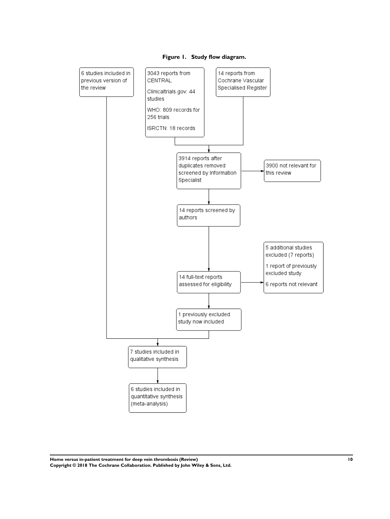<span id="page-11-0"></span>

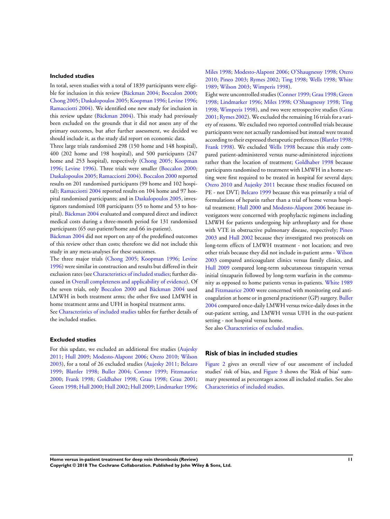## **Included studies**

In total, seven studies with a total of 1839 participants were eligible for inclusion in this review ([Bäckman 2004;](#page-19-0) [Boccalon 2000;](#page-19-0) [Chong 2005;](#page-19-0) [Daskalopoulos 2005](#page-19-0); [Koopman 1996](#page-19-0); [Levine 1996;](#page-19-0) [Ramacciotti 2004](#page-19-0)). We identified one new study for inclusion in this review update [\(Bäckman 2004\)](#page-19-0). This study had previously been excluded on the grounds that it did not assess any of the primary outcomes, but after further assessment, we decided we should include it, as the study did report on economic data.

Three large trials randomised 298 (150 home and 148 hospital), 400 (202 home and 198 hospital), and 500 participants (247 home and 253 hospital), respectively [\(Chong 2005;](#page-19-0) [Koopman](#page-19-0) [1996](#page-19-0); [Levine 1996\)](#page-19-0). Three trials were smaller ([Boccalon 2000;](#page-19-0) [Daskalopoulos 2005;](#page-19-0) [Ramacciotti 2004](#page-19-0)). [Boccalon 2000](#page-19-0) reported results on 201 randomised participants (99 home and 102 hospital); [Ramacciotti 2004](#page-19-0) reported results on 104 home and 97 hospital randomised participants; and in [Daskalopoulos 2005,](#page-19-0) investigators randomised 108 participants (55 to home and 53 to hospital). [Bäckman 2004](#page-19-0) evaluated and compared direct and indirect medical costs during a three-month period for 131 randomised participants (65 out-patient/home and 66 in-patient).

[Bäckman 2004](#page-19-0) did not report on any of the predefined outcomes of this review other than costs; therefore we did not include this study in any meta-analyses for these outcomes.

The three major trials [\(Chong 2005](#page-19-0); [Koopman 1996](#page-19-0); [Levine](#page-19-0) [1996](#page-19-0)) were similar in construction and results but differed in their exclusion rates (see [Characteristics of included studies;](#page-24-0) further discussed in [Overall completeness and applicability of evidence](#page-14-0)). Of the seven trials, only [Boccalon 2000](#page-19-0) and [Bäckman 2004](#page-19-0) used LMWH in both treatment arms; the other five used LMWH in home treatment arms and UFH in hospital treatment arms.

See [Characteristics of included studies](#page-24-0) tables for further details of the included studies.

#### **Excluded studies**

For this update, we excluded an additional five studies [\(Aujesky](#page-19-0) ; [Hull 2009](#page-19-0); [Modesto-Alapont 2006;](#page-19-0) [Otero 2010;](#page-19-0) [Wilson](#page-19-0) ), for a total of 26 excluded studies ([Aujesky 2011;](#page-19-0) [Belcaro](#page-19-0) ; [Blattler 1998;](#page-19-0) [Buller 2004](#page-19-0); [Conner 1999;](#page-19-0) [Fitzmaurice](#page-19-0) ; [Frank 1998](#page-19-0); [Goldhaber 1998](#page-19-0); [Grau 1998](#page-19-0); [Grau 2001;](#page-19-0) [Green 1998;](#page-19-0) [Hull 2000](#page-19-0); [Hull 2002](#page-19-0); [Hull 2009;](#page-19-0) [Lindmarker 1996;](#page-19-0) [Miles 1998;](#page-19-0) [Modesto-Alapont 2006](#page-19-0); [O'Shaugnessy 1998;](#page-19-0) [Otero](#page-19-0) [2010](#page-19-0); [Pineo 2003](#page-19-0); [Rymes 2002](#page-19-0); [Ting 1998](#page-19-0); [Wells 1998](#page-19-0); [White](#page-19-0) [1989](#page-19-0); [Wilson 2003](#page-19-0); [Wimperis 1998](#page-19-0)).

Eight were uncontrolled studies ([Conner 1999;](#page-19-0) [Grau 1998](#page-19-0); [Green](#page-19-0) [1998](#page-19-0); [Lindmarker 1996;](#page-19-0) [Miles 1998;](#page-19-0) [O'Shaugnessy 1998;](#page-19-0) [Ting](#page-19-0) [1998](#page-19-0); [Wimperis 1998](#page-19-0)), and two were retrospective studies [\(Grau](#page-19-0) [2001](#page-19-0); [Rymes 2002](#page-19-0)). We excluded the remaining 16 trials for a variety of reasons. We excluded two reported controlled trials because participants were not actually randomised but instead were treated according to their expressed therapeutic preferences ([Blattler 1998;](#page-19-0) [Frank 1998](#page-19-0)). We excluded [Wells 1998](#page-19-0) because this study compared patient-administered versus nurse-administered injections rather than the location of treatment; [Goldhaber 1998](#page-19-0) because participants randomised to treatment with LMWH in a home setting were first required to be treated in hospital for several days; [Otero 2010](#page-19-0) and [Aujesky 2011](#page-19-0) because these studies focussed on PE - not DVT; [Belcaro 1999](#page-19-0) because this was primarily a trial of formulations of heparin rather than a trial of home versus hospital treatment; [Hull 2000](#page-19-0) and [Modesto-Alapont 2006](#page-19-0) because investigators were concerned with prophylactic regimens including LMWH for patients undergoing hip arthroplasty and for those with VTE in obstructive pulmonary disease, respectively; [Pineo](#page-19-0) [2003](#page-19-0) and [Hull 2002](#page-19-0) because they investigated two protocols on long-term effects of LMWH treatment - not location; and two other trials because they did not include in-patient arms - [Wilson](#page-19-0) [2003](#page-19-0) compared anticoagulant clinics versus family clinics, and [Hull 2009](#page-19-0) compared long-term subcutaneous tinzaparin versus initial tinzaparin followed by long-term warfarin in the community as opposed to home patients versus in-patients. [White 1989](#page-19-0) and [Fitzmaurice 2000](#page-19-0) were concerned with monitoring oral anticoagulation at home or in general practitioner (GP) surgery. [Buller](#page-19-0) [2004](#page-19-0) compared once-daily LMWH versus twice-daily doses in the out-patient setting, and LMWH versus UFH in the out-patient setting - not hospital versus home.

See also [Characteristics of excluded studies](#page-34-0).

## **Risk of bias in included studies**

[Figure 2](#page-13-0) gives an overall view of our assessment of included studies' risk of bias, and [Figure 3](#page-14-0) shows the 'Risk of bias' summary presented as percentages across all included studies. See also [Characteristics of included studies.](#page-24-0)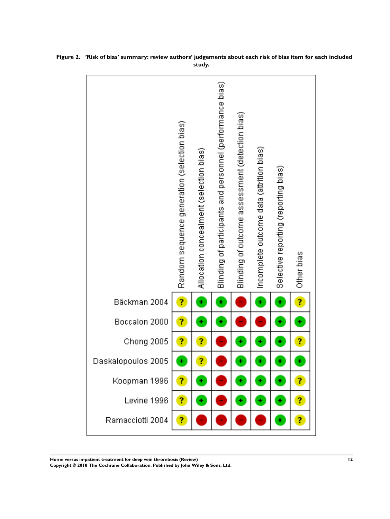|                    | Random sequence generation (selection bias) | Allocation concealment (selection bias) | Blinding of participants and personnel (performance bias) | Blinding of outcome assessment (detection bias) | Incomplete outcome data (attrition bias) | Selective reporting (reporting bias) | Other bias |
|--------------------|---------------------------------------------|-----------------------------------------|-----------------------------------------------------------|-------------------------------------------------|------------------------------------------|--------------------------------------|------------|
| Bäckman 2004       | ?                                           | ÷                                       | ÷                                                         |                                                 | ÷                                        | ÷                                    | ?          |
| Boccalon 2000      | Ĩ,                                          | ÷                                       | ÷                                                         |                                                 |                                          | ٠                                    | ÷          |
| Chong 2005         | 7                                           | ?                                       |                                                           | ÷                                               | ÷                                        | ÷                                    | Ĩ,         |
| Daskalopoulos 2005 | ÷                                           | ?                                       |                                                           | ÷                                               | ÷                                        | ÷                                    | ÷          |
| Koopman 1996       | ?                                           | ٠                                       |                                                           | ٠                                               | ÷                                        |                                      | ?          |
| Levine 1996        | 7                                           | ÷                                       |                                                           | ÷                                               | ÷.                                       | ٠                                    | 7          |
| Ramacciotti 2004   | ?                                           |                                         |                                                           |                                                 |                                          |                                      | ?          |

<span id="page-13-0"></span>**Figure 2. 'Risk of bias' summary: review authors' judgements about each risk of bias item for each included study.**

**Home versus in-patient treatment for deep vein thrombosis (Review) 12**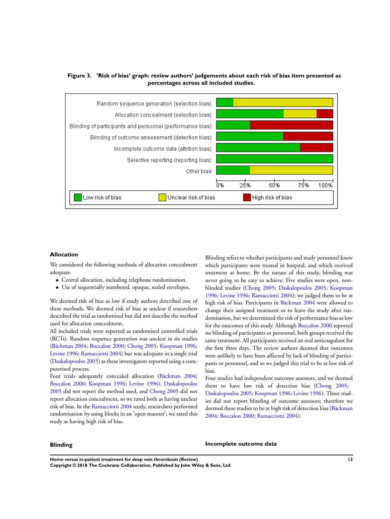<span id="page-14-0"></span>



## **Allocation**

We considered the following methods of allocation concealment adequate.

- Central allocation, including telephone randomisation.
- Use of sequentially numbered, opaque, sealed envelopes.

We deemed risk of bias as low if study authors described one of these methods. We deemed risk of bias as unclear if researchers described the trial as randomised but did not describe the method used for allocation concealment.

All included trials were reported as randomised controlled trials (RCTs). Random sequence generation was unclear in six studies [\(Bäckman 2004](#page-19-0); [Boccalon 2000](#page-19-0); [Chong 2005;](#page-19-0) [Koopman 1996;](#page-19-0) [Levine 1996](#page-19-0); [Ramacciotti 2004](#page-19-0)) but was adequate in a single trial [\(Daskalopoulos 2005\)](#page-19-0) as these investigators reported using a computerised process.

Four trials adequately concealed allocation [\(Bäckman 2004;](#page-19-0) [Boccalon 2000;](#page-19-0) [Koopman 1996](#page-19-0); [Levine 1996\)](#page-19-0). [Daskalopoulos](#page-19-0) [2005](#page-19-0) did not report the method used, and [Chong 2005](#page-19-0) did not report allocation concealment, so we rated both as having unclear risk of bias. In the [Ramacciotti 2004](#page-19-0) study, researchers performed randomisation by using blocks in an 'open manner'; we rated this study as having high risk of bias.

Blinding refers to whether participants and study personnel knew which participants were treated in hospital, and which received treatment at home. By the nature of this study, blinding was never going to be easy to achieve. Five studies were open, nonblinded studies [\(Chong 2005](#page-19-0); [Daskalopoulos 2005;](#page-19-0) [Koopman](#page-19-0) [1996](#page-19-0); [Levine 1996](#page-19-0); [Ramacciotti 2004](#page-19-0)); we judged them to be at high risk of bias. Participants in [Bäckman 2004](#page-19-0) were allowed to change their assigned treatment or to leave the study after randomisation, but we determined the risk of performance bias as low for the outcomes of this study. Although [Boccalon 2000](#page-19-0) reported no blinding of participants or personnel, both groups received the same treatment. All participants received an oral anticoagulant for the first three days. The review authors deemed that outcomes were unlikely to have been affected by lack of blinding of participants or personnel, and so we judged this trial to be at low risk of bias.

Four studies had independent outcome assessors, and we deemed them to have low risk of detection bias [\(Chong 2005](#page-19-0); [Daskalopoulos 2005](#page-19-0); [Koopman 1996](#page-19-0); [Levine 1996\)](#page-19-0). Three studies did not report blinding of outcome assessors; therefore we deemed these studies to be at high risk of detection bias ([Bäckman](#page-19-0) [2004](#page-19-0); [Boccalon 2000;](#page-19-0) [Ramacciotti 2004\)](#page-19-0).

#### **Blinding**

#### **Incomplete outcome data**

**Home versus in-patient treatment for deep vein thrombosis (Review) 13**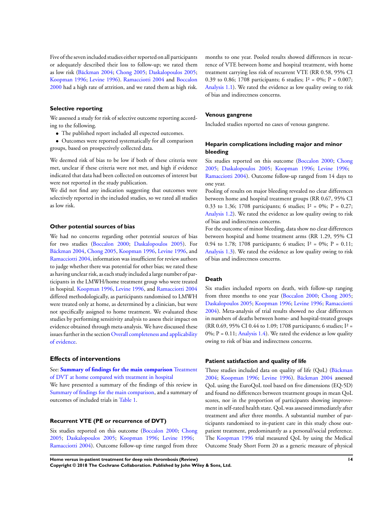Five of the seven included studies either reported on all participants or adequately described their loss to follow-up; we rated them as low risk ([Bäckman 2004](#page-19-0); [Chong 2005](#page-19-0); [Daskalopoulos 2005;](#page-19-0) [Koopman 1996;](#page-19-0) [Levine 1996](#page-19-0)). [Ramacciotti 2004](#page-19-0) and [Boccalon](#page-19-0) [2000](#page-19-0) had a high rate of attrition, and we rated them as high risk.

### **Selective reporting**

We assessed a study for risk of selective outcome reporting according to the following.

- The published report included all expected outcomes.
- Outcomes were reported systematically for all comparison groups, based on prospectively collected data.

We deemed risk of bias to be low if both of these criteria were met, unclear if these criteria were not met, and high if evidence indicated that data had been collected on outcomes of interest but were not reported in the study publication.

We did not find any indication suggesting that outcomes were selectively reported in the included studies, so we rated all studies as low risk.

### **Other potential sources of bias**

We had no concerns regarding other potential sources of bias for two studies ([Boccalon 2000;](#page-19-0) [Daskalopoulos 2005\)](#page-19-0). For [Bäckman 2004,](#page-19-0) [Chong 2005](#page-19-0), [Koopman 1996](#page-19-0), [Levine 1996,](#page-19-0) and [Ramacciotti 2004,](#page-19-0) information was insufficient for review authors to judge whether there was potential for other bias; we rated these as having unclear risk, as each study included a large number of participants in the LMWH/home treatment group who were treated in hospital. [Koopman 1996](#page-19-0), [Levine 1996,](#page-19-0) and [Ramacciotti 2004](#page-19-0) differed methodologically, as participants randomised to LMWH were treated only at home, as determined by a clinician, but were not specifically assigned to home treatment. We evaluated these studies by performing sensitivity analysis to assess their impact on evidence obtained through meta-analysis. We have discussed these issues further in the section [Overall completeness and applicability](#page-14-0) [of evidence](#page-14-0).

#### **Effects of interventions**

See: **[Summary of findings for the main comparison](#page-5-0)** [Treatment](#page-5-0) [of DVT at home compared with treatment in hospital](#page-5-0)

We have presented a summary of the findings of this review in [Summary of findings for the main comparison](#page-5-0), and a summary of outcomes of included trials in [Table 1](#page-40-0).

## **Recurrent VTE (PE or recurrence of DVT)**

Six studies reported on this outcome [\(Boccalon 2000](#page-19-0); [Chong](#page-19-0) [2005](#page-19-0); [Daskalopoulos 2005;](#page-19-0) [Koopman 1996;](#page-19-0) [Levine 1996;](#page-19-0) [Ramacciotti 2004\)](#page-19-0). Outcome follow-up time ranged from three months to one year. Pooled results showed differences in recurrence of VTE between home and hospital treatment, with home treatment carrying less risk of recurrent VTE (RR 0.58, 95% CI 0.39 to 0.86; 1708 participants; 6 studies;  $I^2 = 0\%$ ;  $P = 0.007$ ; [Analysis 1.1](#page-37-0)). We rated the evidence as low quality owing to risk of bias and indirectness concerns.

#### **Venous gangrene**

Included studies reported no cases of venous gangrene.

## **Heparin complications including major and minor bleeding**

Six studies reported on this outcome [\(Boccalon 2000](#page-19-0); [Chong](#page-19-0) [2005](#page-19-0); [Daskalopoulos 2005;](#page-19-0) [Koopman 1996;](#page-19-0) [Levine 1996;](#page-19-0) [Ramacciotti 2004\)](#page-19-0). Outcome follow-up ranged from 14 days to one year.

Pooling of results on major bleeding revealed no clear differences between home and hospital treatment groups (RR 0.67, 95% CI 0.33 to 1.36; 1708 participants; 6 studies;  $I^2 = 0\%$ ;  $P = 0.27$ ; [Analysis 1.2](#page-38-0)). We rated the evidence as low quality owing to risk of bias and indirectness concerns.

For the outcome of minor bleeding, data show no clear differences between hospital and home treatment arms (RR 1.29, 95% CI 0.94 to 1.78; 1708 participants; 6 studies;  $I^2 = 0\%$ ;  $P = 0.11$ ; [Analysis 1.3](#page-39-0)). We rated the evidence as low quality owing to risk of bias and indirectness concerns.

#### **Death**

Six studies included reports on death, with follow-up ranging from three months to one year [\(Boccalon 2000;](#page-19-0) [Chong 2005;](#page-19-0) [Daskalopoulos 2005;](#page-19-0) [Koopman 1996](#page-19-0); [Levine 1996;](#page-19-0) [Ramacciotti](#page-19-0) [2004](#page-19-0)). Meta-analysis of trial results showed no clear differences in numbers of deaths between home- and hospital-treated groups (RR 0.69, 95% CI 0.44 to 1.09; 1708 participants; 6 studies; I² =  $0\%$ ; P = 0.11; [Analysis 1.4](#page-40-0)). We rated the evidence as low quality owing to risk of bias and indirectness concerns.

#### **Patient satisfaction and quality of life**

Three studies included data on quality of life (QoL) ([Bäckman](#page-19-0) [2004](#page-19-0); [Koopman 1996;](#page-19-0) [Levine 1996](#page-19-0)). [Bäckman 2004](#page-19-0) assessed QoL using the EuroQoL tool based on five dimensions (EQ-5D) and found no differences between treatment groups in mean QoL scores, nor in the proportion of participants showing improvement in self-rated health state. QoL was assessed immediately after treatment and after three months. A substantial number of participants randomised to in-patient care in this study chose outpatient treatment, predominantly as a personal/social preference. The [Koopman 1996](#page-19-0) trial measured QoL by using the Medical Outcome Study Short Form 20 as a generic measure of physical

**Home versus in-patient treatment for deep vein thrombosis (Review) 14 Copyright © 2018 The Cochrane Collaboration. Published by John Wiley & Sons, Ltd.**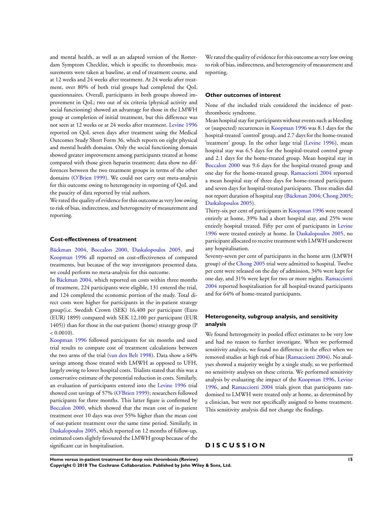and mental health, as well as an adapted version of the Rotterdam Symptom Checklist, which is specific to thrombosis; measurements were taken at baseline, at end of treatment course, and at 12 weeks and 24 weeks after treatment. At 24 weeks after treatment, over 80% of both trial groups had completed the QoL questionnaires. Overall, participants in both groups showed improvement in QoL; two out of six criteria (physical activity and social functioning) showed an advantage for those in the LMWH group at completion of initial treatment, but this difference was not seen at 12 weeks or at 24 weeks after treatment. [Levine 1996](#page-19-0) reported on QoL seven days after treatment using the Medical Outcomes Study Short Form 36, which reports on eight physical and mental health domains. Only the social functioning domain showed greater improvement among participants treated at home compared with those given heparin treatment; data show no differences between the two treatment groups in terms of the other domains ([O'Brien 1999\)](#page-19-0). We could not carry out meta-analysis for this outcome owing to heterogeneity in reporting of QoL and the paucity of data reported by trial authors.

We rated the quality of evidence for this outcome as very low owing to risk of bias, indirectness, and heterogeneity of measurement and reporting.

### **Cost-effectiveness of treatment**

[Bäckman 2004,](#page-19-0) [Boccalon 2000](#page-19-0), [Daskalopoulos 2005,](#page-19-0) and [Koopman 1996](#page-19-0) all reported on cost-effectiveness of compared treatments, but because of the way investigators presented data, we could perform no meta-analysis for this outcome.

In [Bäckman 2004](#page-19-0), which reported on costs within three months of treatment, 224 participants were eligible, 131 entered the trial, and 124 completed the economic portion of the study. Total direct costs were higher for participants in the in-patient strategy group(i.e. Swedish Crown (SEK) 16,400 per participant (Euro (EUR) 1899) compared with SEK 12,100 per participant (EUR 1405)) than for those in the out-patient (home) strategy group (P  $< 0.0010$ ).

[Koopman 1996](#page-19-0) followed participants for six months and used trial results to compare cost of treatment calculations between the two arms of the trial ([van den Belt 1998](#page-19-0)). Data show a 64% savings among those treated with LMWH as opposed to UFH, largely owing to lower hospital costs. Trialists stated that this was a conservative estimate of the potential reduction in costs. Similarly, an evaluation of participants entered into the [Levine 1996](#page-19-0) trial showed cost savings of 57% ([O'Brien 1999](#page-19-0)); researchers followed participants for three months. This latter figure is confirmed by [Boccalon 2000](#page-19-0), which showed that the mean cost of in-patient treatment over 10 days was over 55% higher than the mean cost of out-patient treatment over the same time period. Similarly, in [Daskalopoulos 2005](#page-19-0), which reported on 12 months of follow-up, estimated costs slightly favoured the LMWH group because of the significant cut in hospitalisation.

We rated the quality of evidence for this outcome as very low owing to risk of bias, indirectness, and heterogeneity of measurement and reporting.

#### **Other outcomes of interest**

None of the included trials considered the incidence of postthrombotic syndrome.

Mean hospital stay for participants without events such as bleeding or (suspected) recurrences in [Koopman 1996](#page-19-0) was 8.1 days for the hospital-treated 'control' group, and 2.7 days for the home-treated 'treatment' group. In the other large trial [\(Levine 1996\)](#page-19-0), mean hospital stay was 6.5 days for the hospital-treated control group and 2.1 days for the home-treated group. Mean hospital stay in [Boccalon 2000](#page-19-0) was 9.6 days for the hospital-treated group and one day for the home-treated group. [Ramacciotti 2004](#page-19-0) reported a mean hospital stay of three days for home-treated participants and seven days for hospital-treated participants. Three studies did not report duration of hospital stay [\(Bäckman 2004;](#page-19-0) [Chong 2005;](#page-19-0) [Daskalopoulos 2005\)](#page-19-0).

Thirty-six per cent of participants in [Koopman 1996](#page-19-0) were treated entirely at home, 39% had a short hospital stay, and 25% were entirely hospital treated. Fifty per cent of participants in [Levine](#page-19-0) [1996](#page-19-0) were treated entirely at home. In [Daskalopoulos 2005](#page-19-0), no participant allocated to receive treatment with LMWH underwent any hospitalisation.

Seventy-seven per cent of participants in the home arm (LMWH group) of the [Chong 2005](#page-19-0) trial were admitted to hospital. Twelve per cent were released on the day of admission, 34% were kept for one day, and 31% were kept for two or more nights. [Ramacciotti](#page-19-0) [2004](#page-19-0) reported hospitalisation for all hospital-treated participants and for 64% of home-treated participants.

## **Heterogeneity, subgroup analysis, and sensitivity analysis**

We found heterogeneity in pooled effect estimates to be very low and had no reason to further investigate. When we performed sensitivity analysis, we found no difference in the effect when we removed studies at high risk of bias ([Ramacciotti 2004\)](#page-19-0). No analyses showed a majority weight by a single study, so we performed no sensitivity analyses on these criteria. We performed sensitivity analysis by evaluating the impact of the [Koopman 1996](#page-19-0), [Levine](#page-19-0) [1996](#page-19-0), and [Ramacciotti 2004](#page-19-0) trials given that participants randomised to LMWH were treated only at home, as determined by a clinician, but were not specifically assigned to home treatment. This sensitivity analysis did not change the findings.

## **D I S C U S S I O N**

**Home versus in-patient treatment for deep vein thrombosis (Review) 15**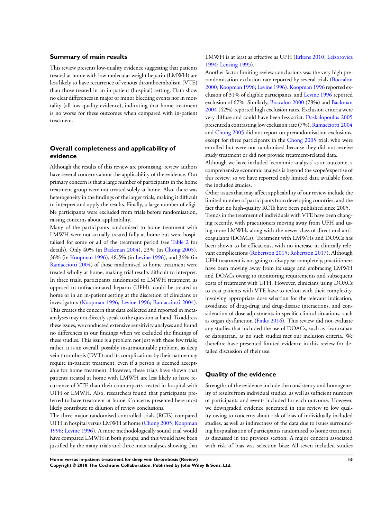### **Summary of main results**

This review presents low-quality evidence suggesting that patients treated at home with low molecular weight heparin (LMWH) are less likely to have recurrence of venous thromboembolism (VTE) than those treated in an in-patient (hospital) setting. Data show no clear differences in major or minor bleeding events nor in mortality (all low-quality evidence), indicating that home treatment is no worse for these outcomes when compared with in-patient treatment.

## **Overall completeness and applicability of evidence**

Although the results of this review are promising, review authors have several concerns about the applicability of the evidence. Our primary concern is that a large number of participants in the home treatment group were not treated solely at home. Also, there was heterogeneity in the findings of the larger trials, making it difficult to interpret and apply the results. Finally, a large number of eligible participants were excluded from trials before randomisation, raising concerns about applicability.

Many of the participants randomised to home treatment with LMWH were not actually treated fully at home but were hospitalised for some or all of the treatment period (see [Table 2](#page-41-0) for details). Only 40% (in [Bäckman 2004\)](#page-19-0), 23% (in [Chong 2005](#page-19-0)), 36% (in [Koopman 1996\)](#page-19-0), 48.5% (in [Levine 1996](#page-19-0)), and 36% (in [Ramacciotti 2004\)](#page-19-0) of those randomised to home treatment were treated wholly at home, making trial results difficult to interpret. In three trials, participants randomised to LMWH treatment, as opposed to unfractionated heparin (UFH), could be treated at home or in an in-patient setting at the discretion of clinicians or investigators ([Koopman 1996](#page-19-0); [Levine 1996;](#page-19-0) [Ramacciotti 2004](#page-19-0)). This creates the concern that data collected and reported in metaanalyses may not directly speak to the question at hand. To address these issues, we conducted extensive sensitivity analyses and found no differences in our findings when we excluded the findings of these studies. This issue is a problem not just with these few trials; rather, it is an overall, possibly insurmountable problem, as deep vein thrombosis (DVT) and its complications by their nature may require in-patient treatment, even if a person is deemed acceptable for home treatment. However, these trials have shown that patients treated at home with LMWH are less likely to have recurrence of VTE than their counterparts treated in hospital with UFH or LMWH. Also, researchers found that participants preferred to have treatment at home. Concerns presented here most likely contribute to dilution of review conclusions.

The three major randomised controlled trials (RCTs) compared UFH in hospital versus LMWH at home [\(Chong 2005;](#page-19-0) [Koopman](#page-19-0) [1996](#page-19-0); [Levine 1996](#page-19-0)). A more methodologically sound trial would have compared LMWH in both groups, and this would have been justified by the many trials and three meta-analyses showing that

## LMWH is at least as effective as UFH ([Erkens 2010;](#page-19-0) [Leizorovicz](#page-19-0) [1994](#page-19-0); [Lensing 1995](#page-19-0)).

Another factor limiting review conclusions was the very high prerandomisation exclusion rate reported by several trials [\(Boccalon](#page-19-0) [2000](#page-19-0);[Koopman 1996;](#page-19-0) [Levine 1996](#page-19-0)).[Koopman 1996](#page-19-0) reported exclusion of 31% of eligible participants, and [Levine 1996](#page-19-0) reported exclusion of 67%. Similarly, [Boccalon 2000](#page-19-0) (78%) and [Bäckman](#page-19-0) [2004](#page-19-0) (42%) reported high exclusion rates. Exclusion criteria were very diffuse and could have been less strict. [Daskalopoulos 2005](#page-19-0) presented a contrasting low exclusion rate (7%). [Ramacciotti 2004](#page-19-0) and [Chong 2005](#page-19-0) did not report on prerandomisation exclusions, except for three participants in the [Chong 2005](#page-19-0) trial, who were enrolled but were not randomised because they did not receive study treatment or did not provide treatment-related data.

Although we have included 'economic analysis' as an outcome, a comprehensive economic analysis is beyond the scope/expertise of this review, so we have reported only limited data available from the included studies.

Other issues that may affect applicability of our review include the limited number of participants from developing countries, and the fact that no high-quality RCTs have been published since 2005. Trends in the treatment of individuals with VTE have been changing recently, with practitioners moving away from UFH and using more LMWHs along with the newer class of direct oral anticoagulants (DOACs). Treatment with LMWHs and DOACs has been shown to be efficacious, with no increase in clinically relevant complications [\(Robertson 2015;](#page-19-0) [Robertson 2017](#page-19-0)). Although UFH treatment is not going to disappear completely, practitioners have been moving away from its usage and embracing LMWH and DOACs owing to monitoring requirements and subsequent costs of treatment with UFH. However, clinicians using DOACs to treat patients with VTE have to reckon with their complexity, involving appropriate dose selection for the relevant indication, avoidance of drug-drug and drug-disease interactions, and consideration of dose adjustments in specific clinical situations, such as organ dysfunction [\(Finks 2016\)](#page-19-0). This review did not evaluate any studies that included the use of DOACs, such as rivaroxaban or dabigatran, as no such studies met our inclusion criteria. We therefore have presented limited evidence in this review for detailed discussion of their use.

### **Quality of the evidence**

Strengths of the evidence include the consistency and homogeneity of results from individual studies, as well as sufficient numbers of participants and events included for each outcome. However, we downgraded evidence generated in this review to low quality owing to concerns about risk of bias of individually included studies, as well as indirectness of the data due to issues surrounding hospitalisation of participants randomised to home treatment, as discussed in the previous section. A major concern associated with risk of bias was selection bias: All seven included studies

**Home versus in-patient treatment for deep vein thrombosis (Review) 16 Copyright © 2018 The Cochrane Collaboration. Published by John Wiley & Sons, Ltd.**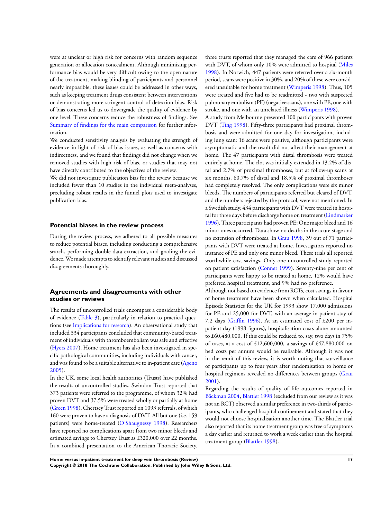were at unclear or high risk for concerns with random sequence generation or allocation concealment. Although minimising performance bias would be very difficult owing to the open nature of the treatment, making blinding of participants and personnel nearly impossible, these issues could be addressed in other ways, such as keeping treatment drugs consistent between interventions or demonstrating more stringent control of detection bias. Risk of bias concerns led us to downgrade the quality of evidence by one level. These concerns reduce the robustness of findings. See [Summary of findings for the main comparison](#page-5-0) for further information.

We conducted sensitivity analysis by evaluating the strength of evidence in light of risk of bias issues, as well as concerns with indirectness, and we found that findings did not change when we removed studies with high risk of bias, or studies that may not have directly contributed to the objectives of the review.

We did not investigate publication bias for the review because we included fewer than 10 studies in the individual meta-analyses, precluding robust results in the funnel plots used to investigate publication bias.

#### **Potential biases in the review process**

During the review process, we adhered to all possible measures to reduce potential biases, including conducting a comprehensive search, performing double data extraction, and grading the evidence. We made attempts to identify relevant studies and discussed disagreements thoroughly.

## **Agreements and disagreements with other studies or reviews**

The results of uncontrolled trials encompass a considerable body of evidence [\(Table 3\)](#page-42-0), particularly in relation to practical questions (see Implications for research). An observational study that included 334 participants concluded that community-based treatment of individuals with thromboembolism was safe and effective [\(Hyers 2007\)](#page-19-0). Home treatment has also been investigated in specific pathological communities, including individuals with cancer, and was found to be a suitable alternative to in-patient care ([Ageno](#page-19-0) [2005](#page-19-0)).

In the UK, some local health authorities (Trusts) have published the results of uncontrolled studies. Swindon Trust reported that 373 patients were referred to the programme, of whom 32% had proven DVT and 37.5% were treated wholly or partially at home [\(Green 1998](#page-19-0)). Chertsey Trust reported on 1093 referrals, of which 160 were proven to have a diagnosis of DVT. All but one (i.e. 159 patients) were home-treated [\(O'Shaugnessy 1998](#page-19-0)). Researchers have reported no complications apart from two minor bleeds and estimated savings to Chertsey Trust as £320,000 over 22 months. In a combined presentation to the American Thoracic Society,

three trusts reported that they managed the care of 966 patients with DVT, of whom only 10% were admitted to hospital [\(Miles](#page-19-0) [1998](#page-19-0)). In Norwich, 447 patients were referred over a six-month period, scans were positive in 30%, and 20% of these were considered unsuitable for home treatment ([Wimperis 1998](#page-19-0)). Thus, 105 were treated and five had to be readmitted - two with suspected pulmonary embolism (PE) (negative scans), one with PE, one with stroke, and one with an unrelated illness [\(Wimperis 1998\)](#page-19-0).

A study from Melbourne presented 100 participants with proven DVT [\(Ting 1998\)](#page-19-0). Fifty-three participants had proximal thrombosis and were admitted for one day for investigation, including lung scan: 16 scans were positive, although participants were asymptomatic and the result did not affect their management at home. The 47 participants with distal thrombosis were treated entirely at home. The clot was initially extended in 13.2% of distal and 2.7% of proximal thromboses, but at follow-up scans at six months, 60.7% of distal and 18.5% of proximal thromboses had completely resolved. The only complications were six minor bleeds. The numbers of participants referred but cleared of DVT, and the numbers rejected by the protocol, were not mentioned. In a Swedish study, 434 participants with DVT were treated in hospi-tal for three days before discharge home on treatment [\(Lindmarker](#page-19-0) [1996](#page-19-0)). Three participants had proven PE: One major bleed and 16 minor ones occurred. Data show no deaths in the acute stage and no extension of thromboses. In [Grau 1998](#page-19-0), 39 out of 71 participants with DVT were treated at home. Investigators reported no instance of PE and only one minor bleed. These trials all reported worthwhile cost savings. Only one uncontrolled study reported on patient satisfaction ([Conner 1999](#page-19-0)). Seventy-nine per cent of participants were happy to be treated at home, 12% would have preferred hospital treatment, and 9% had no preference.

Although not based on evidence from RCTs, cost savings in favour of home treatment have been shown when calculated. Hospital Episode Statistics for the UK for 1993 show 17,000 admissions for PE and 25,000 for DVT, with an average in-patient stay of 7.2 days ([Griffin 1996\)](#page-19-0). At an estimated cost of £200 per inpatient day (1998 figures), hospitalisation costs alone amounted to £60,480,000. If this could be reduced to, say, two days in 75% of cases, at a cost of £12,600,000, a savings of £47,880,000 on bed costs per annum would be realisable. Although it was not in the remit of this review, it is worth noting that surveillance of participants up to four years after randomisation to home or hospital regimens revealed no differences between groups [\(Grau](#page-19-0) [2001](#page-19-0)).

Regarding the results of quality of life outcomes reported in [Bäckman 2004,](#page-19-0) [Blattler 1998](#page-19-0) (excluded from our review as it was not an RCT) observed a similar preference in two-thirds of participants, who challenged hospital confinement and stated that they would not choose hospitalisation another time. The Blattler trial also reported that its home treatment group was free of symptoms a day earlier and returned to work a week earlier than the hospital treatment group ([Blattler 1998\)](#page-19-0).

**Home versus in-patient treatment for deep vein thrombosis (Review) 17 Copyright © 2018 The Cochrane Collaboration. Published by John Wiley & Sons, Ltd.**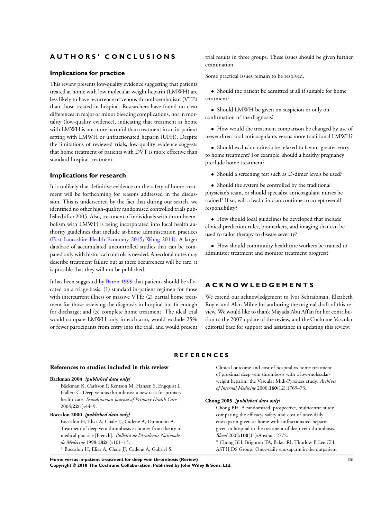## <span id="page-19-0"></span>**A U T H O R S ' C O N C L U S I O N S**

#### **Implications for practice**

This review presents low-quality evidence suggesting that patients treated at home with low molecular weight heparin (LMWH) are less likely to have recurrence of venous thromboembolism (VTE) than those treated in hospital. Researchers have found no clear differences in major or minor bleeding complications, nor in mortality (low-quality evidence), indicating that treatment at home with LMWH is not more harmful than treatment in an in-patient setting with LMWH or unfractionated heparin (UFH). Despite the limitations of reviewed trials, low-quality evidence suggests that home treatment of patients with DVT is more effective than standard hospital treatment.

#### **Implications for research**

It is unlikely that definitive evidence on the safety of home treatment will be forthcoming for reasons addressed in the discussion. This is underscored by the fact that during our search, we identified no other high-quality randomised controlled trials published after 2005. Also, treatment of individuals with thromboembolism with LMWH is being incorporated into local health authority guidelines that include at-home administration practices (East Lancashire Health Economy 2015; Wong 2014). A larger database of accumulated uncontrolled studies that can be compared only with historical controls is needed. Anecdotal notes may describe treatment failure but as these occurrences will be rare, it is possible that they will not be published.

It has been suggested by Baron 1999 that patients should be allocated on a triage basis: (1) standard in-patient regimen for those with intercurrent illness or massive VTE; (2) partial home treatment for those receiving the diagnosis in hospital but fit enough for discharge; and (3) complete home treatment. The ideal trial would compare LMWH only in each arm, would exclude 25% or fewer participants from entry into the trial, and would present

trial results in three groups. These issues should be given further examination.

Some practical issues remain to be resolved.

• Should the patient be admitted at all if suitable for home treatment?

• Should LMWH be given on suspicion or only on confirmation of the diagnosis?

• How would the treatment comparison be changed by use of newer direct oral anticoagulants versus more traditional LMWH?

• Should exclusion criteria be relaxed to favour greater entry to home treatment? For example, should a healthy pregnancy preclude home treatment?

• Should a screening test such as D-dimer levels be used?

• Should the system be controlled by the traditional physician's team, or should specialist anticoagulant nurses be trained? If so, will a lead clinician continue to accept overall responsibility?

• How should local guidelines be developed that include clinical prediction rules, biomarkers, and imaging that can be used to tailor therapy to disease severity?

• How should community healthcare workers be trained to administer treatment and monitor treatment progress?

## **A C K N O W L E D G E M E N T S**

We extend our acknowledgement to Ivor Schraibman, Elizabeth Royle, and Alan Milne for authoring the original draft of this review. We would like to thank Mayada Abu Affan for her contribution to the 2007 update of the review, and the Cochrane Vascular editorial base for support and assistance in updating this review.

## **R E F E R E N C E S**

### **References to studies included in this review**

### **Bäckman 2004** *{published data only}*

Bäckman K, Carlsson P, Kentson M, Hansen S, Engquist L, Hallert C. Deep venous thrombosis: a new task for primary health care. *Scandinavian Journal of Primary Health Care* 2004;**22**(1):44–9.

#### **Boccalon 2000** *{published data only}*

Boccalon H, Elias A, Chale JJ, Cadene A, Dumoulin A. Treatment of deep vein thrombosis at home: from theory to medical practice [French]. *Bulletin de l'Academie Nationale de Medecine* 1998;**182**(1):101–15. <sup>∗</sup> Boccalon H, Elias A, Chale JJ, Cadene A, Gabriel S.

Clinical outcome and cost of hospital vs home treatment of proximal deep vein thrombosis with a low-molecularweight heparin: the Vascular Midi-Pyrenees study. *Archives of Internal Medicine* 2000;**160**(12):1769–73.

#### **Chong 2005** *{published data only}*

Chong BH. A randomized, prospective, multicentre study comparing the efficacy, safety and cost of once-daily enoxaparin given at home with unfractionated heparin given in hospital in the treatment of deep-vein thrombosis. *Blood* 2002;**100**(11):Abstract 2772.

<sup>∗</sup> Chong BH, Brighton TA, Baker RI, Thurlow P, Lee CH, ASTH DS Group. Once-daily enoxaparin in the outpatient

**Home versus in-patient treatment for deep vein thrombosis (Review) 18 Copyright © 2018 The Cochrane Collaboration. Published by John Wiley & Sons, Ltd.**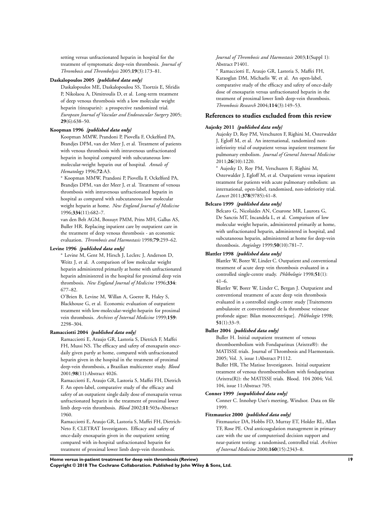setting versus unfractionated heparin in hospital for the treatment of symptomatic deep-vein thrombosis. *Journal of Thrombosis and Thrombolysis* 2005;**19**(3):173–81.

#### **Daskalopoulos 2005** *{published data only}*

Daskalopoulos ME, Daskalopoulou SS, Tzortzis E, Sfiridis P, Nikolaou A, Dimitroulis D, et al. Long-term treatment of deep venous thrombosis with a low molecular weight heparin (tinzaparin): a prospective randomized trial. *European Journal of Vascular and Endovascular Surgery* 2005; **29**(6):638–50.

#### **Koopman 1996** *{published data only}*

Koopman MMW, Prandoni P, Piovella F, Ockelford PA, Brandjes DPM, van der Meer J, et al. Treatment of patients with venous thrombosis with intravenous unfractionated heparin in hospital compared with subcutaneous lowmolecular-weight heparin out of hospital. *Annals of Hematology* 1996;**72**:A3.

<sup>∗</sup> Koopman MMW, Prandoni P, Piovella F, Ockelford PA, Brandjes DPM, van der Meer J, et al. Treatment of venous thrombosis with intravenous unfractionated heparin in hospital as compared with subcutaneous low molecular weight heparin at home. *New England Journal of Medicine* 1996;**334**(11):682–7.

van den Belt AGM, Bossuyt PMM, Prins MH, Gallus AS, Buller HR. Replacing inpatient care by outpatient care in the treatment of deep venous thrombosis - an economic evaluation. *Thrombosis and Haemostasis* 1998;**79**:259–62.

#### **Levine 1996** *{published data only}*

<sup>∗</sup> Levine M, Gent M, Hirsch J, Leclerc J, Anderson D, Weitz J, et al. A comparison of low molecular weight heparin administered primarily at home with unfractionated heparin administered in the hospital for proximal deep vein thrombosis. *New England Journal of Medicine* 1996;**334**: 677–82.

O'Brien B, Levine M, Willan A, Goeree R, Haley S, Blackhouse G, et al. Economic evaluation of outpatient treatment with low-molecular-weight-heparin for proximal vein thrombosis. *Archives of Internal Medicine* 1999;**159**: 2298–304.

#### **Ramacciotti 2004** *{published data only}*

Ramacciotti E, Araujo GR, Lastoria S, Dietrich F, Maffei FH, Mussi NS. The efficacy and safety of enoxaparin oncedaily given partly at home, compared with unfractionated heparin given in the hospital in the treatment of proximal deep-vein thrombosis, a Brazilian multicenter study. *Blood* 2001;**98**(11):Abstract 4026.

Ramacciotti E, Araujo GR, Lastoria S, Maffei FH, Dietrich F. An open-label, comparative study of the efficacy and safety of an outpatient single daily dose of enoxaparin versus unfractionated heparin in the treatment of proximal lower limb deep-vein thrombosis. *Blood* 2002;**11**:503a-Abstract 1960.

Ramacciotti E, Araujo GR, Lastoria S, Maffei FH, Dietrich-Neto F, CLETRAT Investigators. Efficacy and safety of once-daily enoxaparin given in the outpatient setting compared with in-hospital unfractionated heparin for treatment of proximal lower limb deep-vein thrombosis.

*Journal of Thrombosis and Haemostasis* 2003;**1**(Suppl 1): Abstract P1401.

<sup>∗</sup> Ramacciotti E, Araujo GR, Lastoria S, Maffei FH, Karaoglan DM, Michaelis W, et al. An open-label, comparative study of the efficacy and safety of once-daily dose of enoxaparin versus unfractionated heparin in the treatment of proximal lower limb deep-vein thrombosis. *Thrombosis Research* 2004;**114**(3):149–53.

## **References to studies excluded from this review**

#### **Aujesky 2011** *{published data only}*

Aujesky D, Roy PM, Verschuren F, Righini M, Osterwalder J, Egloff M, et al. An international, randomized noninferiority trial of outpatient versus inpatient treatment for pulmonary embolism. *Journal of General Internal Medicine* 2011;**26**(10):1220.

<sup>∗</sup> Aujesky D, Roy PM, Verschuren F, Righini M,

Osterwalder J, Egloff M, et al. Outpatient versus inpatient treatment for patients with acute pulmonary embolism: an international, open-label, randomised, non-inferiority trial. *Lancet* 2011;**378**(9785):41–8.

#### **Belcaro 1999** *{published data only}*

Belcaro G, Nicolaides AN, Cesarone MR, Laurora G, De Sanctis MT, Incandela L, et al. Comparison of low molecular weight heparin, administered primarily at home, with unfractionated heparin, administered in hospital, and subcutaneous heparin, administered at home for deep-vein thrombosis. *Angiology* 1999;**50**(10):781–7.

#### **Blattler 1998** *{published data only}*

Blattler W, Borer W, Linder C. Outpatient and conventional treatment of acute deep vein thrombosis evaluated in a controlled single-centre study. *Phlébologie* 1998;**51**(1): 41–6.

Blattler W, Borer W, Linder C, Bergan J. Outpatient and conventional treatment of acute deep vein thrombosis evaluated in a controlled single-centre study [Traitements ambulatoire et conventionnel de la thrombose veineuse profonde aigue: Bilan monocentrique]. *Phlébologie* 1998; **51**(1):33–9.

#### **Buller 2004** *{published data only}*

Buller H. Initial outpatient treatment of venous thromboembolism with Fondaparinux (Arixtra®): the MATISSE trials. Journal of Thrombosis and Haemostasis. 2005; Vol. 3, issue 1:Abstract P1112.

Buller HR, The Matisse Investigators. Initial outpatient treatment of venous thromboembolism with fondaparinux (Arixtra(R)): the MATISSE trials. Blood. 104 2004; Vol. 104, issue 11:Abstract 705.

## **Conner 1999** *{unpublished data only}*

Conner C. Innohep User's meeting, Windsor. Data on file 1999.

#### **Fitzmaurice 2000** *{published data only}*

Fitzmaurice DA, Hobbs FD, Murray ET, Holder RL, Allan TF, Rose PE. Oral anticoagulation management in primary care with the use of computerised decision support and near-patient testing: a randomised, controlled trial. *Archives of Internal Medicine* 2000;**160**(15):2343–8.

**Home versus in-patient treatment for deep vein thrombosis (Review) 19**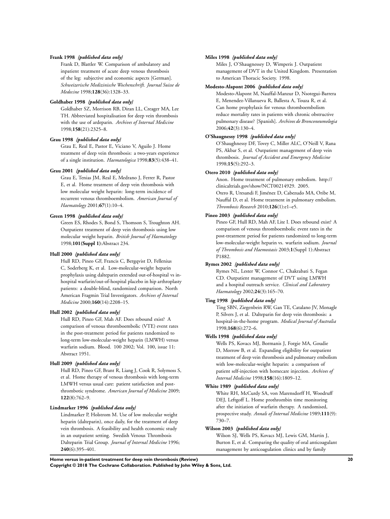#### **Frank 1998** *{published data only}*

Frank D, Blattler W. Comparison of ambulatory and inpatient treatment of acute deep venous thrombosis of the leg: subjective and economic aspects [German]. *Schweizerische Medizinische Wochenschrift. Journal Suisse de Medecine* 1998;**128**(36):1328–33.

#### **Goldhaber 1998** *{published data only}*

Goldhaber SZ, Morrison RB, Diran LL, Creager MA, Lee TH. Abbreviated hospitalisation for deep vein thrombosis with the use of ardeparin. *Archives of Internal Medicine* 1998;**158**(21):2325–8.

### **Grau 1998** *{published data only}*

Grau E, Real E, Pastor E, Viciano V, Aguilo J. Home treatment of deep vein thrombosis: a two-years experience of a single institution. *Haematologica* 1998;**83**(5):438–41.

#### **Grau 2001** *{published data only}*

Grau E, Tenias JM, Real E, Medrano J, Ferrer R, Pastor E, et al. Home treatment of deep vein thrombosis with low molecular weight heparin: long-term incidence of recurrent venous thromboembolism. *American Journal of Haematology* 2001;**67**(1):10–4.

#### **Green 1998** *{published data only}*

Green ES, Rhodes S, Bond S, Thomson S, Troughton AH. Outpatient treatment of deep vein thrombosis using low molecular weight heparin. *British Journal of Haematology* 1998;**101(Suppl 1)**:Abstract 234.

#### **Hull 2000** *{published data only}*

Hull RD, Pineo GF, Francis C, Bergqvist D, Fellenius C, Soderberg K, et al. Low-molecular-weight heparin prophylaxis using dalteparin extended out-of-hospital vs inhospital warfarin/out-of-hospital placebo in hip arthroplasty patients: a double-blind, randomized comparison. North American Fragmin Trial Investigators. *Archives of Internal Medicine* 2000;**160**(14):2208–15.

### **Hull 2002** *{published data only}*

Hull RD, Pineo GF, Mah AF. Does rebound exist? A comparison of venous thromboembolic (VTE) event rates in the post-treatment period for patients randomized to long-term low-molecular-weight heparin (LMWH) versus warfarin sodium. Blood. 100 2002; Vol. 100, issue 11: Abstract 1951.

## **Hull 2009** *{published data only}*

Hull RD, Pineo GF, Brant R, Liang J, Cook R, Solymoss S, et al. Home therapy of venous thrombosis with long-term LMWH versus usual care: patient satisfaction and postthrombotic syndrome. *American Journal of Medicine* 2009; **122**(8):762–9.

#### **Lindmarker 1996** *{published data only}*

Lindmarker P, Holstrom M. Use of low molecular weight heparin (dalteparin), once daily, for the treatment of deep vein thrombosis. A feasibility and health economic study in an outpatient setting. Swedish Venous Thrombosis Dalteparin Trial Group. *Journal of Internal Medicine* 1996; **240**(6):395–401.

#### **Miles 1998** *{published data only}*

Miles J, O'Shaugnessey D, Wimperis J. Outpatient management of DVT in the United Kingdom. Presentation to American Thoracic Society. 1998.

#### **Modesto-Alapont 2006** *{published data only}*

Modesto-Alapont M, Nauffal-Manzur D, Nsotegui-Barrera E, Menendez-Villanueva R, Ballesta A, Touza R, et al. Can home prophylaxis for venous thromboembolism reduce mortality rates in patients with chronic obstructive pulmonary disease? [Spanish]. *Archivos de Bronconeumologia* 2006;**42**(3):130–4.

#### **O'Shaugnessy 1998** *{published data only}*

O'Shaughnessy DF, Tovey C, Miller ALC, O'Neill V, Rana PS, Akbar S, et al. Outpatient management of deep vein thrombosis. *Journal of Accident and Emergency Medicine* 1998;**15**(5):292–3.

#### **Otero 2010** *{published data only}*

Anon. Home treatment of pulmonary embolism. http:// clinicaltrials.gov/show/NCT00214929. 2005. Otero R, Uresandi F, Jiménez D, Cabezudo MA, Oribe M, Nauffal D, et al. Home treatment in pulmonary embolism. *Thrombosis Research* 2010;**126**(1):e1–e5.

### **Pineo 2003** *{published data only}*

Pineo GF, Hull RD, Mah AF, Lite I. Does rebound exist? A comparison of venous thromboembolic event rates in the post-treatment period for patients randomized to long-term low-molecular-weight heparin vs. warfarin sodium. *Journal of Thrombosis and Haemostasis* 2003;**1**(Suppl 1):Abstract P1882.

#### **Rymes 2002** *{published data only}*

Rymes NL, Lester W, Connor C, Chakrabati S, Fegan CD. Outpatient management of DVT using LMWH and a hospital outreach service. *Clinical and Laboratory Haematology* 2002;**24**(3):165–70.

#### **Ting 1998** *{published data only}*

Ting SBN, Ziegenbein RW, Gan TE, Catalano JV, Monagle P, Silvers J, et al. Dalteparin for deep vein thrombosis: a hospital-in-the-home program. *Medical Journal of Australia* 1998;**168**(6):272–6.

#### **Wells 1998** *{published data only}*

Wells PS, Kovacs MJ, Bormanis J, Forgie MA, Goudie D, Morrow B, et al. Expanding eligibility for outpatient treatment of deep vein thrombosis and pulmonary embolism with low-molecular-weight heparin: a comparison of patient self-injection with homecare injection. *Archives of Internal Medicine* 1998;**158**(16):1809–12.

#### **White 1989** *{published data only}*

White RH, McCurdy SA, von Marensdorff H, Woodruff DEJ, Leftgoff L. Home prothrombin time monitoring after the initiation of warfarin therapy. A randomised, prospective study. *Annals of Internal Medicine* 1989;**111**(9): 730–7.

#### **Wilson 2003** *{published data only}*

Wilson SJ, Wells PS, Kovacs MJ, Lewis GM, Martin J, Burton E, et al. Comparing the quality of oral anticoagulant management by anticoagulation clinics and by family

**Home versus in-patient treatment for deep vein thrombosis (Review) 20**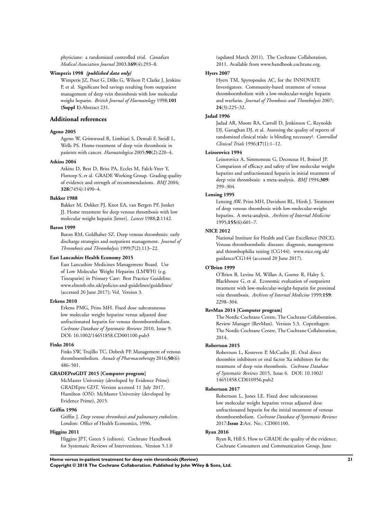physicians: a randomized controlled trial. *Canadian Medical Association Journal* 2003;**169**(4):293–8.

#### **Wimperis 1998** *{published data only}*

Wimperis JZ, Pout G, Dilks G, Wilson P, Clarke J, Jenkins P, et al. Significant bed savings resulting from outpatient management of deep vein thrombosis with low molecular weight heparin. *British Journal of Haematology* 1998;**101 (Suppl 1)**:Abstract 231.

## **Additional references**

### **Ageno 2005**

Ageno W, Grimwood R, Limbiati S, Dentali F, Steidl L, Wells PS. Home-treatment of deep vein thrombosis in patients with cancer. *Haematologica* 2005;**90**(2):220–4.

#### **Atkins 2004**

Atkins D, Best D, Briss PA, Eccles M, Falck-Ytter Y, Flottorp S, et al. GRADE Working Group. Grading quality of evidence and strength of recommendations. *BMJ* 2004; **328**(7454):1490–4.

#### **Bakker 1988**

Bakker M, Dekker PJ, Knot EA, van Bergen PF, Jonker JJ. Home treatment for deep venous thrombosis with low molecular weight heparin [letter]. *Lancet* 1988;**2**:1142.

#### **Baron 1999**

Baron RM, Goldhaber SZ. Deep venous thrombosis: early discharge strategies and outpatient management. *Journal of Thrombosis and Thrombolysis* 1999;**7**(2):113–22.

#### **East Lancashire Health Economy 2015**

East Lancashire Medicines Management Board. Use of Low Molecular Weight Heparins (LMWH) (e.g. Tinzaparin) in Primary Care: Best Practice Guideline. www.elmmb.nhs.uk/policies-and-guidelines/guidelines/ (accessed 20 June 2017); Vol. Version 3.

#### **Erkens 2010**

Erkens PMG, Prins MH. Fixed dose subcutaneous low molecular weight heparins versus adjusted dose unfractionated heparin for venous thromboembolism. *Cochrane Database of Systematic Reviews* 2010, Issue 9. DOI: 10.1002/14651858.CD001100.pub3

#### **Finks 2016**

Finks SW, Trujillo TC, Dobesh PP. Management of venous thromboembolism. *Annals of Pharmacotherapy* 2016;**50**(6): 486–501.

#### **GRADEProGDT 2015 [Computer program]**

McMaster University (developed by Evidence Prime). GRADEpro GDT. Version accessed 11 July 2017. Hamilton (ON): McMaster University (developed by Evidence Prime), 2015.

### **Griffin 1996**

Griffin J. *Deep venous thrombosis and pulmonary embolism*. London: Office of Health Economics, 1996.

### **Higgins 2011**

Higgins JPT, Green S (editors). Cochrane Handbook for Systematic Reviews of Interventions. Version 5.1.0 (updated March 2011). The Cochrane Collaboration, 2011. Available from www.handbook.cochrane.org.

#### **Hyers 2007**

Hyers TM, Spyropoulos AC, for the INNOVATE Investigators. Community-based treatment of venous thromboembolism with a low-molecular-weight heparin and warfarin. *Journal of Thombosis and Thombolysis* 2007; **24**(3):225–32.

#### **Jadad 1996**

Jadad AR, Moore RA, Carroll D, Jenkinson C, Reynolds DJ, Gavaghan DJ, et al. Assessing the quality of reports of randomized clinical trials: is blinding necessary?. *Controlled Clinical Trials* 1996;**17**(1):1–12.

### **Leizorovicz 1994**

Leizorovicz A, Simmoneau G, Decousus H, Boissel JP. Comparison of efficacy and safety of low molecular weight heparins and unfractionated heparin in initial treatment of deep vein thrombosis: a meta-analysis. *BMJ* 1994;**309**: 299–304.

#### **Lensing 1995**

Lensing AW, Prins MH, Davidson BL, Hirsh J. Treatment of deep venous thrombosis with low-molecular-weight heparins. A meta-analysis. *Archives of Internal Medicine* 1995;**155**(6):601–7.

### **NICE 2012**

National Institute for Health and Care Excellence (NICE). Venous thromboembolic diseases: diagnosis, management and thrombophilia testing (CG144). www.nice.org.uk/ guidance/CG144 (accessed 20 June 2017).

#### **O'Brien 1999**

O'Brien B, Levine M, Willan A, Goeree R, Haley S, Blackhouse G, et al. Economic evaluation of outpatient treatment with low-molecular-weight-heparin for proximal vein thrombosis. *Archives of Internal Medicine* 1999;**159**: 2298–304.

#### **RevMan 2014 [Computer program]**

The Nordic Cochrane Centre, The Cochrane Collaboration. Review Manager (RevMan). Version 5.3. Copenhagen: The Nordic Cochrane Centre, The Cochrane Collaboration, 2014.

#### **Robertson 2015**

Robertson L, Kesteven P, McCaslin JE. Oral direct thrombin inhibitors or oral factor Xa inhibitors for the treatment of deep vein thrombosis. *Cochrane Database of Systematic Reviews* 2015, Issue 6. DOI: 10.1002/ 14651858.CD010956.pub2

### **Robertson 2017**

Robertson L, Jones LE. Fixed dose subcutaneous low molecular weight heparins versus adjusted dose unfractionated heparin for the initial treatment of venous thromboembolism. *Cochrane Database of Systematic Reviews* 2017;**Issue 2**:Art. No.: CD001100.

### **Ryan 2016**

Ryan R, Hill S. How to GRADE the quality of the evidence. Cochrane Consumers and Communication Group, June

**Home versus in-patient treatment for deep vein thrombosis (Review) 21**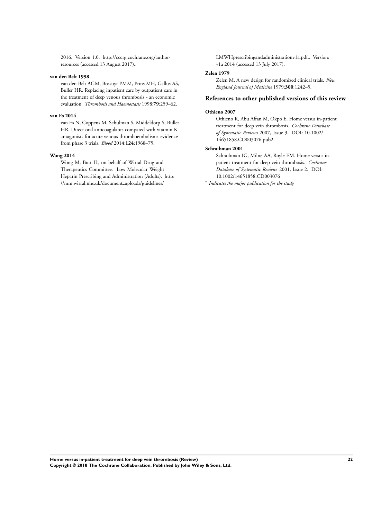2016. Version 1.0. http://cccrg.cochrane.org/authorresources (accessed 13 August 2017)..

#### **van den Belt 1998**

van den Belt AGM, Bossuyt PMM, Prins MH, Gallus AS, Buller HR. Replacing inpatient care by outpatient care in the treatment of deep venous thrombosis - an economic evaluation. *Thrombosis and Haemostasis* 1998;**79**:259–62.

#### **van Es 2014**

van Es N, Coppens M, Schulman S, Middeldorp S, Büller HR. Direct oral anticoagulants compared with vitamin K antagonists for acute venous thromboembolism: evidence from phase 3 trials. *Blood* 2014;**124**:1968–75.

#### **Wong 2014**

Wong M, Butt IL, on behalf of Wirral Drug and Therapeutics Committee. Low Molecular Weight Heparin Prescribing and Administration (Adults). http: //mm.wirral.nhs.uk/document uploads/guidelines/

LMWHprescribingandadministrationv1a.pdf.. Version: v1a 2014 (accessed 13 July 2017).

#### **Zelen 1979**

Zelen M. A new design for randomized clinical trials. *New England Journal of Medicine* 1979;**300**:1242–5.

#### **References to other published versions of this review**

#### **Othieno 2007**

Othieno R, Abu Affan M, Okpo E. Home versus in-patient treatment for deep vein thrombosis. *Cochrane Database of Systematic Reviews* 2007, Issue 3. DOI: 10.1002/ 14651858.CD003076.pub2

### **Schraibman 2001**

Schraibman IG, Milne AA, Royle EM. Home versus inpatient treatment for deep vein thrombosis. *Cochrane Database of Systematic Reviews* 2001, Issue 2. DOI: 10.1002/14651858.CD003076

∗ *Indicates the major publication for the study*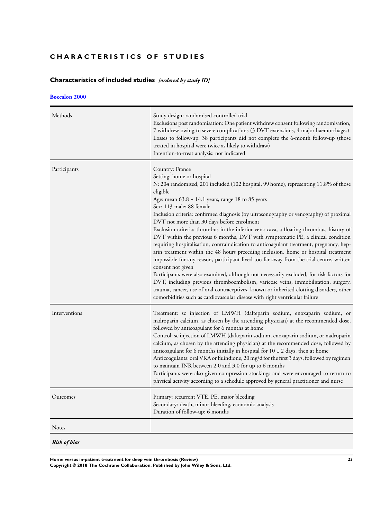## <span id="page-24-0"></span>**CHARACTERISTICS OF STUDIES**

## **Characteristics of included studies** *[ordered by study ID]*

## **[Boccalon 2000](#page-19-0)**

| Methods             | Study design: randomised controlled trial<br>Exclusions post randomisation: One patient withdrew consent following randomisation,<br>7 withdrew owing to severe complications (3 DVT extensions, 4 major haemorrhages)<br>Losses to follow-up: 38 participants did not complete the 6-month follow-up (those<br>treated in hospital were twice as likely to withdraw)<br>Intention-to-treat analysis: not indicated                                                                                                                                                                                                                                                                                                                                                                                                                                                                                                                                                                                                                                                                                                                                                                                                       |
|---------------------|---------------------------------------------------------------------------------------------------------------------------------------------------------------------------------------------------------------------------------------------------------------------------------------------------------------------------------------------------------------------------------------------------------------------------------------------------------------------------------------------------------------------------------------------------------------------------------------------------------------------------------------------------------------------------------------------------------------------------------------------------------------------------------------------------------------------------------------------------------------------------------------------------------------------------------------------------------------------------------------------------------------------------------------------------------------------------------------------------------------------------------------------------------------------------------------------------------------------------|
| Participants        | Country: France<br>Setting: home or hospital<br>N: 204 randomised, 201 included (102 hospital, 99 home), representing 11.8% of those<br>eligible<br>Age: mean $63.8 \pm 14.1$ years, range 18 to 85 years<br>Sex: 113 male; 88 female<br>Inclusion criteria: confirmed diagnosis (by ultrasonography or venography) of proximal<br>DVT not more than 30 days before enrolment<br>Exclusion criteria: thrombus in the inferior vena cava, a floating thrombus, history of<br>DVT within the previous 6 months, DVT with symptomatic PE, a clinical condition<br>requiring hospitalisation, contraindication to anticoagulant treatment, pregnancy, hep-<br>arin treatment within the 48 hours preceding inclusion, home or hospital treatment<br>impossible for any reason, participant lived too far away from the trial centre, written<br>consent not given<br>Participants were also examined, although not necessarily excluded, for risk factors for<br>DVT, including previous thromboembolism, varicose veins, immobilisation, surgery,<br>trauma, cancer, use of oral contraceptives, known or inherited clotting disorders, other<br>comorbidities such as cardiovascular disease with right ventricular failure |
| Interventions       | Treatment: sc injection of LMWH (dalteparin sodium, enoxaparin sodium, or<br>nadroparin calcium, as chosen by the attending physician) at the recommended dose,<br>followed by anticoagulant for 6 months at home<br>Control: sc injection of LMWH (dalteparin sodium, enoxaparin sodium, or nadroparin<br>calcium, as chosen by the attending physician) at the recommended dose, followed by<br>anticoagulant for 6 months initially in hospital for $10 \pm 2$ days, then at home<br>Anticoagulants: oral VKA or fluindione, 20 mg/d for the first 3 days, followed by regimen<br>to maintain INR between 2.0 and 3.0 for up to 6 months<br>Participants were also given compression stockings and were encouraged to return to<br>physical activity according to a schedule approved by general practitioner and nurse                                                                                                                                                                                                                                                                                                                                                                                                |
| Outcomes            | Primary: recurrent VTE, PE, major bleeding<br>Secondary: death, minor bleeding, economic analysis<br>Duration of follow-up: 6 months                                                                                                                                                                                                                                                                                                                                                                                                                                                                                                                                                                                                                                                                                                                                                                                                                                                                                                                                                                                                                                                                                      |
| Notes               |                                                                                                                                                                                                                                                                                                                                                                                                                                                                                                                                                                                                                                                                                                                                                                                                                                                                                                                                                                                                                                                                                                                                                                                                                           |
| <b>Risk of bias</b> |                                                                                                                                                                                                                                                                                                                                                                                                                                                                                                                                                                                                                                                                                                                                                                                                                                                                                                                                                                                                                                                                                                                                                                                                                           |

**Home versus in-patient treatment for deep vein thrombosis (Review) 23**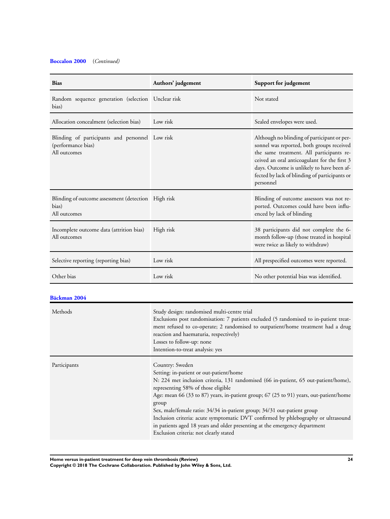## **[Boccalon 2000](#page-19-0)** (*Continued)*

| <b>Bias</b>                                                                           | Authors' judgement | Support for judgement                                                                                                                                                                                                                                                                            |
|---------------------------------------------------------------------------------------|--------------------|--------------------------------------------------------------------------------------------------------------------------------------------------------------------------------------------------------------------------------------------------------------------------------------------------|
| Random sequence generation (selection Unclear risk<br>bias)                           |                    | Not stated                                                                                                                                                                                                                                                                                       |
| Allocation concealment (selection bias)                                               | Low risk           | Sealed envelopes were used.                                                                                                                                                                                                                                                                      |
| Blinding of participants and personnel Low risk<br>(performance bias)<br>All outcomes |                    | Although no blinding of participant or per-<br>sonnel was reported, both groups received<br>the same treatment. All participants re-<br>ceived an oral anticoagulant for the first 3<br>days. Outcome is unlikely to have been af-<br>fected by lack of blinding of participants or<br>personnel |
| Blinding of outcome assessment (detection High risk<br>bias)<br>All outcomes          |                    | Blinding of outcome assessors was not re-<br>ported. Outcomes could have been influ-<br>enced by lack of blinding                                                                                                                                                                                |
| Incomplete outcome data (attrition bias)<br>All outcomes                              | High risk          | 38 participants did not complete the 6-<br>month follow-up (those treated in hospital<br>were twice as likely to withdraw)                                                                                                                                                                       |
| Selective reporting (reporting bias)                                                  | Low risk           | All prespecified outcomes were reported.                                                                                                                                                                                                                                                         |
| Other bias                                                                            | Low risk           | No other potential bias was identified.                                                                                                                                                                                                                                                          |

## **[Bäckman 2004](#page-19-0)**

| Methods      | Study design: randomised multi-centre trial<br>Exclusions post randomisation: 7 patients excluded (5 randomised to in-patient treat-<br>ment refused to co-operate; 2 randomised to outpatient/home treatment had a drug<br>reaction and haematuria, respectively)<br>Losses to follow-up: none<br>Intention-to-treat analysis: yes                                                                                                                                                                                                                                                |
|--------------|------------------------------------------------------------------------------------------------------------------------------------------------------------------------------------------------------------------------------------------------------------------------------------------------------------------------------------------------------------------------------------------------------------------------------------------------------------------------------------------------------------------------------------------------------------------------------------|
| Participants | Country: Sweden<br>Setting: in-patient or out-patient/home<br>N: 224 met inclusion criteria, 131 randomised (66 in-patient, 65 out-patient/home),<br>representing 58% of those eligible<br>Age: mean 66 (33 to 87) years, in-patient group; 67 (25 to 91) years, out-patient/home<br>group<br>Sex, male/female ratio: 34/34 in-patient group; 34/31 out-patient group<br>Inclusion criteria: acute symptomatic DVT confirmed by phlebography or ultrasound<br>in patients aged 18 years and older presenting at the emergency department<br>Exclusion criteria: not clearly stated |

**Home versus in-patient treatment for deep vein thrombosis (Review) 24**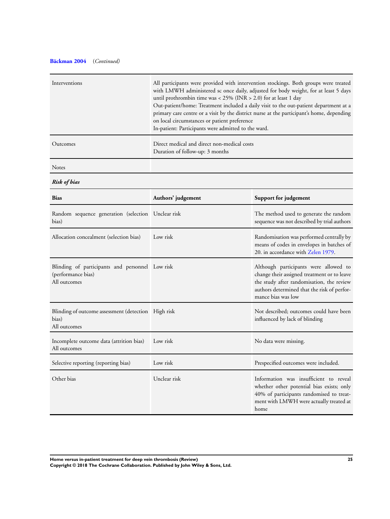## **[Bäckman 2004](#page-19-0)** (*Continued)*

| Interventions | All participants were provided with intervention stockings. Both groups were treated<br>with LMWH administered sc once daily, adjusted for body weight, for at least 5 days<br>until prothrombin time was < $25\%$ (INR > 2.0) for at least 1 day<br>Out-patient/home: Treatment included a daily visit to the out-patient department at a<br>primary care centre or a visit by the district nurse at the participant's home, depending<br>on local circumstances or patient preference<br>In-patient: Participants were admitted to the ward. |
|---------------|------------------------------------------------------------------------------------------------------------------------------------------------------------------------------------------------------------------------------------------------------------------------------------------------------------------------------------------------------------------------------------------------------------------------------------------------------------------------------------------------------------------------------------------------|
| Outcomes      | Direct medical and direct non-medical costs<br>Duration of follow-up: 3 months                                                                                                                                                                                                                                                                                                                                                                                                                                                                 |

Notes

*Risk of bias*

| <b>Bias</b>                                                                           | Authors' judgement | Support for judgement                                                                                                                                                                                  |
|---------------------------------------------------------------------------------------|--------------------|--------------------------------------------------------------------------------------------------------------------------------------------------------------------------------------------------------|
| Random sequence generation (selection Unclear risk<br>bias)                           |                    | The method used to generate the random<br>sequence was not described by trial authors                                                                                                                  |
| Allocation concealment (selection bias)                                               | Low risk           | Randomisation was performed centrally by<br>means of codes in envelopes in batches of<br>20. in accordance with Zelen 1979.                                                                            |
| Blinding of participants and personnel Low risk<br>(performance bias)<br>All outcomes |                    | Although participants were allowed to<br>change their assigned treatment or to leave<br>the study after randomisation, the review<br>authors determined that the risk of perfor-<br>mance bias was low |
| Blinding of outcome assessment (detection High risk<br>bias)<br>All outcomes          |                    | Not described; outcomes could have been<br>influenced by lack of blinding                                                                                                                              |
| Incomplete outcome data (attrition bias)<br>All outcomes                              | Low risk           | No data were missing.                                                                                                                                                                                  |
| Selective reporting (reporting bias)                                                  | Low risk           | Prespecified outcomes were included.                                                                                                                                                                   |
| Other bias                                                                            | Unclear risk       | Information was insufficient to reveal<br>whether other potential bias exists; only<br>40% of participants randomised to treat-<br>ment with LMWH were actually treated at<br>home                     |

**Home versus in-patient treatment for deep vein thrombosis (Review) 25 Copyright © 2018 The Cochrane Collaboration. Published by John Wiley & Sons, Ltd.**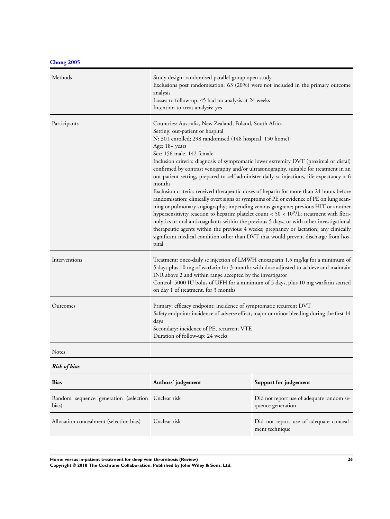**[Chong 2005](#page-19-0)**

| Methods       | Study design: randomised parallel-group open study<br>Exclusions post randomisation: 63 (20%) were not included in the primary outcome<br>analysis<br>Losses to follow-up: 45 had no analysis at 24 weeks<br>Intention-to-treat analysis: yes                                                                                                                                                                                                                                                                                                                                                                                                                                                                                                                                                                                                                                                                                                                                                                                                                                                                                                                          |
|---------------|------------------------------------------------------------------------------------------------------------------------------------------------------------------------------------------------------------------------------------------------------------------------------------------------------------------------------------------------------------------------------------------------------------------------------------------------------------------------------------------------------------------------------------------------------------------------------------------------------------------------------------------------------------------------------------------------------------------------------------------------------------------------------------------------------------------------------------------------------------------------------------------------------------------------------------------------------------------------------------------------------------------------------------------------------------------------------------------------------------------------------------------------------------------------|
| Participants  | Countries: Australia, New Zealand, Poland, South Africa<br>Setting: out-patient or hospital<br>N: 301 enrolled; 298 randomised (148 hospital, 150 home)<br>Age: 18+ years<br>Sex: 156 male, 142 female<br>Inclusion criteria: diagnosis of symptomatic lower extremity DVT (proximal or distal)<br>confirmed by contrast venography and/or ultrasonography, suitable for treatment in an<br>out-patient setting, prepared to self-administer daily sc injections, life expectancy > 6<br>months<br>Exclusion criteria: received therapeutic doses of heparin for more than 24 hours before<br>randomisation; clinically overt signs or symptoms of PE or evidence of PE on lung scan-<br>ning or pulmonary angiography; impending venous gangrene; previous HIT or another<br>hypersensitivity reaction to heparin; platelet count < $50 \times 10^9$ /L; treatment with fibri-<br>nolytics or oral anticoagulants within the previous 5 days, or with other investigational<br>therapeutic agents within the previous 4 weeks; pregnancy or lactation; any clinically<br>significant medical condition other than DVT that would prevent discharge from hos-<br>pital |
| Interventions | Treatment: once-daily sc injection of LMWH enoxaparin 1.5 mg/kg for a minimum of<br>5 days plus 10 mg of warfarin for 3 months with dose adjusted to achieve and maintain<br>INR above 2 and within range accepted by the investigator<br>Control: 5000 IU bolus of UFH for a minimum of 5 days, plus 10 mg warfarin started<br>on day 1 of treatment, for 3 months                                                                                                                                                                                                                                                                                                                                                                                                                                                                                                                                                                                                                                                                                                                                                                                                    |
| Outcomes      | Primary: efficacy endpoint: incidence of symptomatic recurrent DVT<br>Safety endpoint: incidence of adverse effect, major or minor bleeding during the first 14<br>days<br>Secondary: incidence of PE, recurrent VTE<br>Duration of follow-up: 24 weeks                                                                                                                                                                                                                                                                                                                                                                                                                                                                                                                                                                                                                                                                                                                                                                                                                                                                                                                |
| Notes         |                                                                                                                                                                                                                                                                                                                                                                                                                                                                                                                                                                                                                                                                                                                                                                                                                                                                                                                                                                                                                                                                                                                                                                        |

*Risk of bias*

| <b>Bias</b>                                                 | Authors' judgement | Support for judgement                                          |
|-------------------------------------------------------------|--------------------|----------------------------------------------------------------|
| Random sequence generation (selection Unclear risk<br>bias) |                    | Did not report use of adequate random se-<br>quence generation |
| Allocation concealment (selection bias)                     | Unclear risk       | Did not report use of adequate conceal-<br>ment technique      |

**Home versus in-patient treatment for deep vein thrombosis (Review) 26**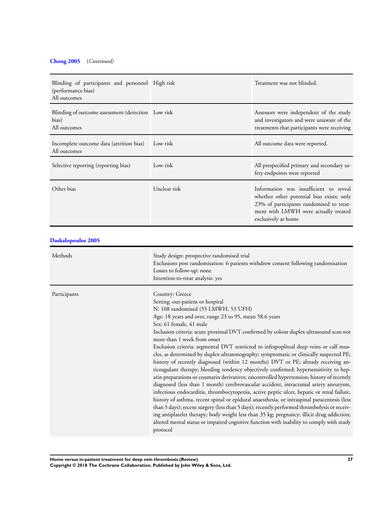## **[Chong 2005](#page-19-0)** (*Continued)*

| Blinding of participants and personnel High risk<br>(performance bias)<br>All outcomes |                                                                                                                                                                                                                                                                                                                                                                                                                                                                                                                                                                                                                                                                                                                                                                                                                                                                                                                                                                                                                                                                                                                                                                                                                                                                                                                                                                   | Treatment was not blinded.                                                                                                                                                                     |  |
|----------------------------------------------------------------------------------------|-------------------------------------------------------------------------------------------------------------------------------------------------------------------------------------------------------------------------------------------------------------------------------------------------------------------------------------------------------------------------------------------------------------------------------------------------------------------------------------------------------------------------------------------------------------------------------------------------------------------------------------------------------------------------------------------------------------------------------------------------------------------------------------------------------------------------------------------------------------------------------------------------------------------------------------------------------------------------------------------------------------------------------------------------------------------------------------------------------------------------------------------------------------------------------------------------------------------------------------------------------------------------------------------------------------------------------------------------------------------|------------------------------------------------------------------------------------------------------------------------------------------------------------------------------------------------|--|
| Blinding of outcome assessment (detection Low risk<br>bias)<br>All outcomes            |                                                                                                                                                                                                                                                                                                                                                                                                                                                                                                                                                                                                                                                                                                                                                                                                                                                                                                                                                                                                                                                                                                                                                                                                                                                                                                                                                                   | Assessors were independent of the study<br>and investigators and were unaware of the<br>treatments that participants were receiving                                                            |  |
| Incomplete outcome data (attrition bias)<br>All outcomes                               | Low risk                                                                                                                                                                                                                                                                                                                                                                                                                                                                                                                                                                                                                                                                                                                                                                                                                                                                                                                                                                                                                                                                                                                                                                                                                                                                                                                                                          | All outcome data were reported.                                                                                                                                                                |  |
| Selective reporting (reporting bias)                                                   | Low risk                                                                                                                                                                                                                                                                                                                                                                                                                                                                                                                                                                                                                                                                                                                                                                                                                                                                                                                                                                                                                                                                                                                                                                                                                                                                                                                                                          | All prespecified primary and secondary sa-<br>fety endpoints were reported                                                                                                                     |  |
| Other bias                                                                             | Unclear risk                                                                                                                                                                                                                                                                                                                                                                                                                                                                                                                                                                                                                                                                                                                                                                                                                                                                                                                                                                                                                                                                                                                                                                                                                                                                                                                                                      | Information was insufficient to reveal<br>whether other potential bias exists; only<br>23% of participants randomised to treat-<br>ment with LMWH were actually treated<br>exclusively at home |  |
| Daskalopoulos 2005                                                                     |                                                                                                                                                                                                                                                                                                                                                                                                                                                                                                                                                                                                                                                                                                                                                                                                                                                                                                                                                                                                                                                                                                                                                                                                                                                                                                                                                                   |                                                                                                                                                                                                |  |
| Methods                                                                                | Study design: prospective randomised trial<br>Exclusions post randomisation: 6 patients withdrew consent following randomisation<br>Losses to follow-up: none<br>Intention-to-treat analysis: yes                                                                                                                                                                                                                                                                                                                                                                                                                                                                                                                                                                                                                                                                                                                                                                                                                                                                                                                                                                                                                                                                                                                                                                 |                                                                                                                                                                                                |  |
| Participants                                                                           | Country: Greece<br>Setting: out-patient or hospital<br>N: 108 randomised (55 LMWH, 53 UFH)<br>Age: 18 years and over, range 23 to 95, mean 58.6 years<br>Sex: 61 female, 41 male<br>Inclusion criteria: acute proximal DVT confirmed by colour duplex ultrasound scan not<br>more than 1 week from onset<br>Exclusion criteria: segmental DVT restricted to infrapopliteal deep veins or calf mus-<br>cles, as determined by duplex ultrasonography; symptomatic or clinically suspected PE;<br>history of recently diagnosed (within 12 months) DVT or PE; already receiving an-<br>ticoagulant therapy; bleeding tendency objectively confirmed; hypersensitivity to hep-<br>arin preparations or coumarin derivatives; uncontrolled hypertension; history of recently<br>diagnosed (less than 1 month) cerebrovascular accident, intracranial artery aneurysm,<br>infectious endocarditis, thrombocytopenia, active peptic ulcer, hepatic or renal failure,<br>history of asthma, recent spinal or epidural anaesthesia, or intraspinal paracentesis (less<br>than 5 days); recent surgery (less than 5 days); recently performed thrombolysis or receiv-<br>ing antiplatelet therapy; body weight less than 35 kg; pregnancy; illicit drug addiction;<br>altered mental status or impaired cognitive function with inability to comply with study<br>protocol |                                                                                                                                                                                                |  |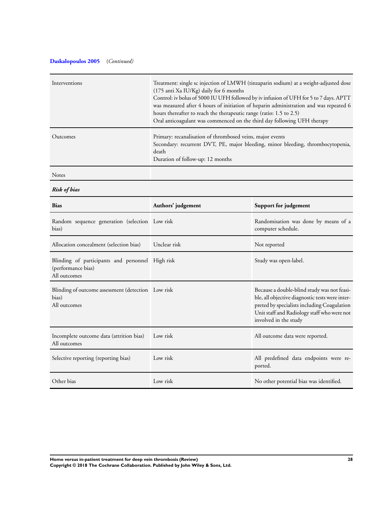## **[Daskalopoulos 2005](#page-19-0)** (*Continued)*

| Interventions | Treatment: single sc injection of LMWH (tinzaparin sodium) at a weight-adjusted dose<br>(175 anti Xa IU/Kg) daily for 6 months<br>Control: iv bolus of 5000 IU UFH followed by iv infusion of UFH for 5 to 7 days. APTT<br>was measured after 4 hours of initiation of heparin administration and was repeated 6<br>hours thereafter to reach the therapeutic range (ratio: 1.5 to 2.5)<br>Oral anticoagulant was commenced on the third day following UFH therapy |
|---------------|--------------------------------------------------------------------------------------------------------------------------------------------------------------------------------------------------------------------------------------------------------------------------------------------------------------------------------------------------------------------------------------------------------------------------------------------------------------------|
| Outcomes      | Primary: recanalisation of thrombosed veins, major events<br>Secondary: recurrent DVT, PE, major bleeding, minor bleeding, thrombocytopenia,<br>death<br>Duration of follow-up: 12 months                                                                                                                                                                                                                                                                          |

Notes

*Risk of bias*

| <b>Bias</b>                                                                            | Authors' judgement | Support for judgement                                                                                                                                                                                                 |
|----------------------------------------------------------------------------------------|--------------------|-----------------------------------------------------------------------------------------------------------------------------------------------------------------------------------------------------------------------|
| Random sequence generation (selection Low risk<br>bias)                                |                    | Randomisation was done by means of a<br>computer schedule.                                                                                                                                                            |
| Allocation concealment (selection bias)                                                | Unclear risk       | Not reported                                                                                                                                                                                                          |
| Blinding of participants and personnel High risk<br>(performance bias)<br>All outcomes |                    | Study was open-label.                                                                                                                                                                                                 |
| Blinding of outcome assessment (detection Low risk<br>bias)<br>All outcomes            |                    | Because a double-blind study was not feasi-<br>ble, all objective diagnostic tests were inter-<br>preted by specialists including Coagulation<br>Unit staff and Radiology staff who were not<br>involved in the study |
| Incomplete outcome data (attrition bias)<br>All outcomes                               | Low risk           | All outcome data were reported.                                                                                                                                                                                       |
| Selective reporting (reporting bias)                                                   | Low risk           | All predefined data endpoints were re-<br>ported.                                                                                                                                                                     |
| Other bias                                                                             | Low risk           | No other potential bias was identified.                                                                                                                                                                               |

**Home versus in-patient treatment for deep vein thrombosis (Review) 28 Copyright © 2018 The Cochrane Collaboration. Published by John Wiley & Sons, Ltd.**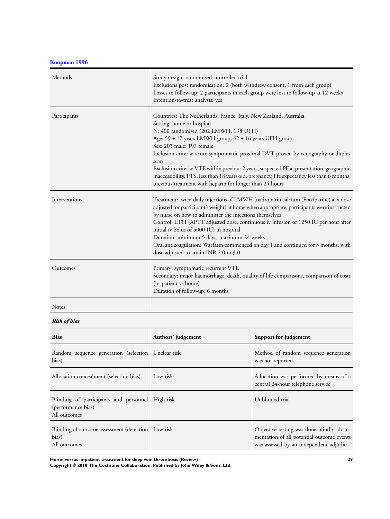**[Koopman 1996](#page-19-0)**

| Methods       | Study design: randomised controlled trial<br>Exclusions post randomisation: 2 (both withdrew consent, 1 from each group)<br>Losses to follow-up: 2 participants in each group were lost to follow-up at 12 weeks<br>Intention-to-treat analysis: yes                                                                                                                                                                                                                                                                                                                                 |
|---------------|--------------------------------------------------------------------------------------------------------------------------------------------------------------------------------------------------------------------------------------------------------------------------------------------------------------------------------------------------------------------------------------------------------------------------------------------------------------------------------------------------------------------------------------------------------------------------------------|
| Participants  | Countries: The Netherlands, France, Italy, New Zealand, Australia<br>Setting: home or hospital<br>N: 400 randomised (202 LMWH, 198 UFH)<br>Age: 59 ± 17 years LMWH group, 62 ± 16 years UFH group<br>Sex: 203 male; 197 female<br>Inclusion criteria: acute symptomatic proximal DVT proven by venography or duplex<br>scan<br>Exclusion criteria: VTE within previous 2 years, suspected PE at presentation, geographic<br>inaccessibility, PTS, less than 18 years old, pregnancy, life expectancy less than 6 months,<br>previous treatment with heparin for longer than 24 hours |
| Interventions | Treatment: twice-daily injections of LMWH (nadroparin calcium (Fraxiparine) at a dose<br>adjusted for participant's weight) at home when appropriate; participants were instructed<br>by nurse on how to administer the injections themselves<br>Control: UFH (APTT adjusted dose, continuous iv infusion of 1250 IU per hour after<br>initial iv bolus of 5000 IU) in hospital<br>Duration: minimum 5 days, maximum 24 weeks<br>Oral anticoagulation: Warfarin commenced on day 1 and continued for 3 months, with<br>dose adjusted to attain INR 2.0 to 3.0                        |
| Outcomes      | Primary: symptomatic recurrent VTE<br>Secondary: major haemorrhage, death, quality of life comparisons, comparison of costs<br>(in-patient vs home)<br>Duration of follow-up: 6 months                                                                                                                                                                                                                                                                                                                                                                                               |
| <b>Notes</b>  |                                                                                                                                                                                                                                                                                                                                                                                                                                                                                                                                                                                      |

*Risk of bias*

| <b>Bias</b>                                                                            | Authors' judgement | Support for judgement                                                                                                              |
|----------------------------------------------------------------------------------------|--------------------|------------------------------------------------------------------------------------------------------------------------------------|
| Random sequence generation (selection Unclear risk<br>bias)                            |                    | Method of random sequence generation<br>was not reported.                                                                          |
| Allocation concealment (selection bias)                                                | Low risk           | Allocation was performed by means of a<br>central 24-hour telephone service                                                        |
| Blinding of participants and personnel High risk<br>(performance bias)<br>All outcomes |                    | Unblinded trial                                                                                                                    |
| Blinding of outcome assessment (detection Low risk<br>bias)<br>All outcomes            |                    | Objective testing was done blindly; docu-<br>mentation of all potential outcome events<br>was assessed by an independent adjudica- |

**Home versus in-patient treatment for deep vein thrombosis (Review) 29**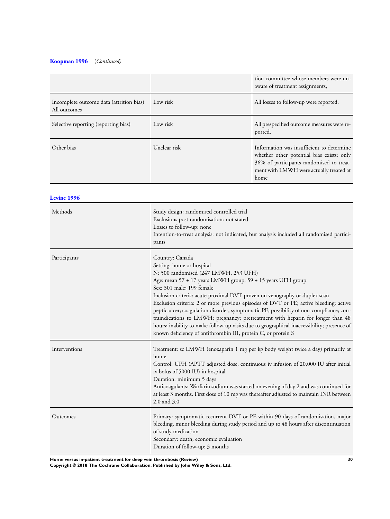## **[Koopman 1996](#page-19-0)** (*Continued)*

|                                                          |              | tion committee whose members were un-<br>aware of treatment assignments,                                                                                                              |
|----------------------------------------------------------|--------------|---------------------------------------------------------------------------------------------------------------------------------------------------------------------------------------|
| Incomplete outcome data (attrition bias)<br>All outcomes | Low risk     | All losses to follow-up were reported.                                                                                                                                                |
| Selective reporting (reporting bias)                     | Low risk     | All prespecified outcome measures were re-<br>ported.                                                                                                                                 |
| Other bias                                               | Unclear risk | Information was insufficient to determine<br>whether other potential bias exists; only<br>36% of participants randomised to treat-<br>ment with LMWH were actually treated at<br>home |

**[Levine 1996](#page-19-0)**

| Methods       | Study design: randomised controlled trial<br>Exclusions post randomisation: not stated<br>Losses to follow-up: none<br>Intention-to-treat analysis: not indicated, but analysis included all randomised partici-<br>pants                                                                                                                                                                                                                                                                                                                                                                                                                                                                                     |
|---------------|---------------------------------------------------------------------------------------------------------------------------------------------------------------------------------------------------------------------------------------------------------------------------------------------------------------------------------------------------------------------------------------------------------------------------------------------------------------------------------------------------------------------------------------------------------------------------------------------------------------------------------------------------------------------------------------------------------------|
| Participants  | Country: Canada<br>Setting: home or hospital<br>N: 500 randomised (247 LMWH, 253 UFH)<br>Age: mean $57 \pm 17$ years LMWH group, $59 \pm 15$ years UFH group<br>Sex: 301 male; 199 female<br>Inclusion criteria: acute proximal DVT proven on venography or duplex scan<br>Exclusion criteria: 2 or more previous episodes of DVT or PE; active bleeding; active<br>peptic ulcer; coagulation disorder; symptomatic PE; possibility of non-compliance; con-<br>traindications to LMWH; pregnancy; pretreatment with heparin for longer than 48<br>hours; inability to make follow-up visits due to geographical inaccessibility; presence of<br>known deficiency of antithrombin III, protein C, or protein S |
| Interventions | Treatment: sc LMWH (enoxaparin 1 mg per kg body weight twice a day) primarily at<br>home<br>Control: UFH (APTT adjusted dose, continuous iv infusion of 20,000 IU after initial<br>iv bolus of 5000 IU) in hospital<br>Duration: minimum 5 days<br>Anticoagulants: Warfarin sodium was started on evening of day 2 and was continued for<br>at least 3 months. First dose of 10 mg was thereafter adjusted to maintain INR between<br>2.0 and 3.0                                                                                                                                                                                                                                                             |
| Outcomes      | Primary: symptomatic recurrent DVT or PE within 90 days of randomisation, major<br>bleeding, minor bleeding during study period and up to 48 hours after discontinuation<br>of study medication<br>Secondary: death, economic evaluation<br>Duration of follow-up: 3 months                                                                                                                                                                                                                                                                                                                                                                                                                                   |

**Home versus in-patient treatment for deep vein thrombosis (Review) 30**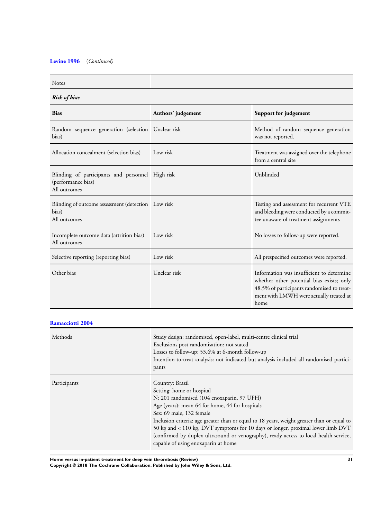## **[Levine 1996](#page-19-0)** (*Continued)*

| <b>Risk of bias</b>                                |                                                                                                                                                                                         |  |
|----------------------------------------------------|-----------------------------------------------------------------------------------------------------------------------------------------------------------------------------------------|--|
| Authors' judgement                                 | Support for judgement                                                                                                                                                                   |  |
| Random sequence generation (selection Unclear risk | Method of random sequence generation<br>was not reported.                                                                                                                               |  |
| Low risk                                           | Treatment was assigned over the telephone<br>from a central site                                                                                                                        |  |
| Blinding of participants and personnel High risk   | Unblinded                                                                                                                                                                               |  |
| Blinding of outcome assessment (detection Low risk | Testing and assessment for recurrent VTE<br>and bleeding were conducted by a commit-<br>tee unaware of treatment assignments                                                            |  |
| Low risk                                           | No losses to follow-up were reported.                                                                                                                                                   |  |
| Low risk                                           | All prespecified outcomes were reported.                                                                                                                                                |  |
| Unclear risk                                       | Information was insufficient to determine<br>whether other potential bias exists; only<br>48.5% of participants randomised to treat-<br>ment with LMWH were actually treated at<br>home |  |
|                                                    |                                                                                                                                                                                         |  |

| <b>Ramacciotti 2004</b> |  |
|-------------------------|--|
|-------------------------|--|

| Methods      | Study design: randomised, open-label, multi-centre clinical trial<br>Exclusions post randomisation: not stated<br>Losses to follow-up: 53.6% at 6-month follow-up<br>Intention-to-treat analysis: not indicated but analysis included all randomised partici-<br>pants                                                                                                                                                                                                                     |
|--------------|--------------------------------------------------------------------------------------------------------------------------------------------------------------------------------------------------------------------------------------------------------------------------------------------------------------------------------------------------------------------------------------------------------------------------------------------------------------------------------------------|
| Participants | Country: Brazil<br>Setting: home or hospital<br>N: 201 randomised (104 enoxaparin, 97 UFH)<br>Age (years): mean 64 for home, 44 for hospitals<br>Sex: 69 male, 132 female<br>Inclusion criteria: age greater than or equal to 18 years, weight greater than or equal to<br>50 kg and < 110 kg, DVT symptoms for 10 days or longer, proximal lower limb DVT<br>(confirmed by duplex ultrasound or venography), ready access to local health service,<br>capable of using enoxaparin at home |

**Home versus in-patient treatment for deep vein thrombosis (Review) 31**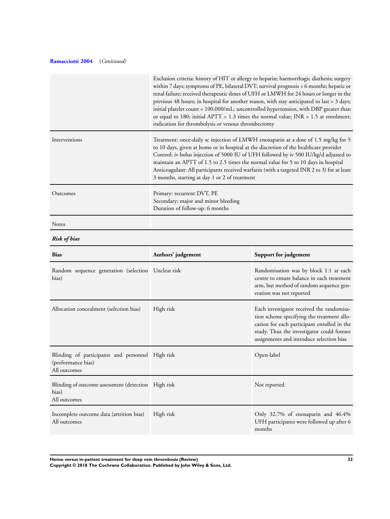## **[Ramacciotti 2004](#page-19-0)** (*Continued)*

|                                                                                        | Exclusion criteria: history of HIT or allergy to heparin; haemorrhagic diathesis; surgery<br>within 7 days; symptoms of PE, bilateral DVT; survival prognosis < 6 months; hepatic or<br>renal failure; received therapeutic doses of UFH or LMWH for 24 hours or longer in the<br>previous 48 hours; in hospital for another reason, with stay anticipated to last > 3 days;<br>initial platelet count < 100,000/mL; uncontrolled hypertension, with DBP greater than<br>or equal to 180; initial APTT > 1.3 times the normal value; INR > 1.5 at enrolment;<br>indication for thrombolysis or venous thrombectomy |                                                                                                                                                                                                                                  |
|----------------------------------------------------------------------------------------|--------------------------------------------------------------------------------------------------------------------------------------------------------------------------------------------------------------------------------------------------------------------------------------------------------------------------------------------------------------------------------------------------------------------------------------------------------------------------------------------------------------------------------------------------------------------------------------------------------------------|----------------------------------------------------------------------------------------------------------------------------------------------------------------------------------------------------------------------------------|
| Interventions                                                                          | Treatment: once-daily sc injection of LMWH enoxaparin at a dose of 1.5 mg/kg for 5<br>to 10 days, given at home or in hospital at the discretion of the healthcare provider<br>Control: iv bolus injection of 5000 IU of UFH followed by iv 500 IU/kg/d adjusted to<br>maintain an APTT of 1.5 to 2.5 times the normal value for 5 to 10 days in hospital<br>Anticoagulant: All participants received warfarin (with a targeted INR 2 to 3) for at least<br>3 months, starting at day 1 or 2 of treatment                                                                                                          |                                                                                                                                                                                                                                  |
| Outcomes                                                                               | Primary: recurrent DVT, PE<br>Secondary: major and minor bleeding<br>Duration of follow-up: 6 months                                                                                                                                                                                                                                                                                                                                                                                                                                                                                                               |                                                                                                                                                                                                                                  |
| Notes                                                                                  |                                                                                                                                                                                                                                                                                                                                                                                                                                                                                                                                                                                                                    |                                                                                                                                                                                                                                  |
| <b>Risk of bias</b>                                                                    |                                                                                                                                                                                                                                                                                                                                                                                                                                                                                                                                                                                                                    |                                                                                                                                                                                                                                  |
| Bias                                                                                   | Authors' judgement                                                                                                                                                                                                                                                                                                                                                                                                                                                                                                                                                                                                 | Support for judgement                                                                                                                                                                                                            |
| Random sequence generation (selection Unclear risk<br>bias)                            |                                                                                                                                                                                                                                                                                                                                                                                                                                                                                                                                                                                                                    | Randomisation was by block 1:1 at each<br>centre to ensure balance in each treatment<br>arm, but method of random sequence gen-<br>eration was not reported                                                                      |
| Allocation concealment (selection bias)                                                | High risk                                                                                                                                                                                                                                                                                                                                                                                                                                                                                                                                                                                                          | Each investigator received the randomisa-<br>tion scheme specifying the treatment allo-<br>cation for each participant enrolled in the<br>study. Thus the investigator could foresee<br>assignments and introduce selection bias |
| Blinding of participants and personnel High risk<br>(performance bias)<br>All outcomes |                                                                                                                                                                                                                                                                                                                                                                                                                                                                                                                                                                                                                    | Open-label                                                                                                                                                                                                                       |
| Blinding of outcome assessment (detection High risk<br>bias)<br>All outcomes           |                                                                                                                                                                                                                                                                                                                                                                                                                                                                                                                                                                                                                    | Not reported                                                                                                                                                                                                                     |
| Incomplete outcome data (attrition bias)<br>All outcomes                               | High risk                                                                                                                                                                                                                                                                                                                                                                                                                                                                                                                                                                                                          | Only 32.7% of enoxaparin and 46.4%<br>UFH participants were followed up after 6<br>months                                                                                                                                        |

**Home versus in-patient treatment for deep vein thrombosis (Review) 32 Copyright © 2018 The Cochrane Collaboration. Published by John Wiley & Sons, Ltd.**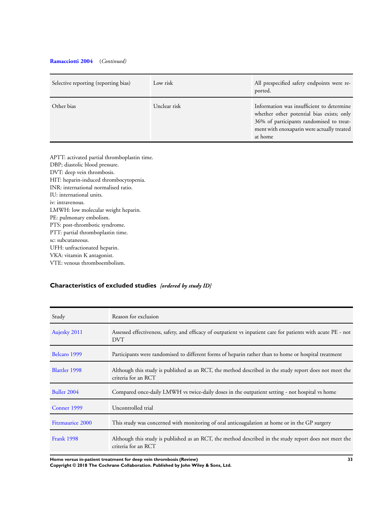## <span id="page-34-0"></span>**[Ramacciotti 2004](#page-19-0)** (*Continued)*

| Selective reporting (reporting bias) | Low risk     | All prespecified safety endpoints were re-<br>ported.                                                                                                                                       |
|--------------------------------------|--------------|---------------------------------------------------------------------------------------------------------------------------------------------------------------------------------------------|
| Other bias                           | Unclear risk | Information was insufficient to determine<br>whether other potential bias exists; only<br>36% of participants randomised to treat-<br>ment with enoxaparin were actually treated<br>at home |

APTT: activated partial thromboplastin time. DBP; diastolic blood pressure. DVT: deep vein thrombosis. HIT: heparin-induced thrombocytopenia. INR: international normalised ratio. IU: international units. iv: intravenous. LMWH: low molecular weight heparin. PE: pulmonary embolism. PTS: post-thrombotic syndrome. PTT: partial thromboplastin time. sc: subcutaneous. UFH: unfractionated heparin. VKA: vitamin K antagonist. VTE: venous thromboembolism.

## **Characteristics of excluded studies** *[ordered by study ID]*

| Study                   | Reason for exclusion                                                                                                          |
|-------------------------|-------------------------------------------------------------------------------------------------------------------------------|
| Aujesky 2011            | Assessed effectiveness, safety, and efficacy of outpatient vs inpatient care for patients with acute PE - not<br><b>DVT</b>   |
| Belcaro 1999            | Participants were randomised to different forms of heparin rather than to home or hospital treatment                          |
| Blattler 1998           | Although this study is published as an RCT, the method described in the study report does not meet the<br>criteria for an RCT |
| Buller 2004             | Compared once-daily LMWH vs twice-daily doses in the outpatient setting - not hospital vs home                                |
| Conner 1999             | Uncontrolled trial                                                                                                            |
| <b>Fitzmaurice 2000</b> | This study was concerned with monitoring of oral anticoagulation at home or in the GP surgery                                 |
| <b>Frank 1998</b>       | Although this study is published as an RCT, the method described in the study report does not meet the<br>criteria for an RCT |

**Home versus in-patient treatment for deep vein thrombosis (Review) 33**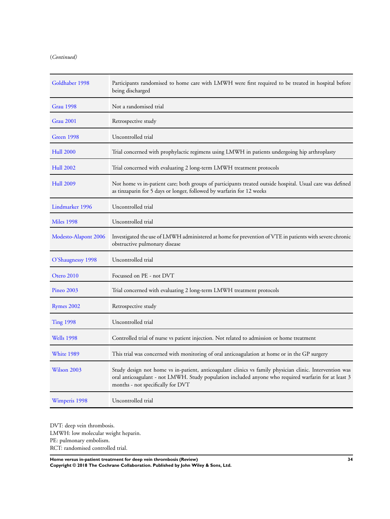## (*Continued)*

| Goldhaber 1998       | Participants randomised to home care with LMWH were first required to be treated in hospital before<br>being discharged                                                                                                                              |
|----------------------|------------------------------------------------------------------------------------------------------------------------------------------------------------------------------------------------------------------------------------------------------|
| <b>Grau 1998</b>     | Not a randomised trial                                                                                                                                                                                                                               |
| <b>Grau 2001</b>     | Retrospective study                                                                                                                                                                                                                                  |
| Green 1998           | Uncontrolled trial                                                                                                                                                                                                                                   |
| <b>Hull 2000</b>     | Trial concerned with prophylactic regimens using LMWH in patients undergoing hip arthroplasty                                                                                                                                                        |
| <b>Hull 2002</b>     | Trial concerned with evaluating 2 long-term LMWH treatment protocols                                                                                                                                                                                 |
| <b>Hull 2009</b>     | Not home vs in-patient care; both groups of participants treated outside hospital. Usual care was defined<br>as tinzaparin for 5 days or longer, followed by warfarin for 12 weeks                                                                   |
| Lindmarker 1996      | Uncontrolled trial                                                                                                                                                                                                                                   |
| <b>Miles 1998</b>    | Uncontrolled trial                                                                                                                                                                                                                                   |
| Modesto-Alapont 2006 | Investigated the use of LMWH administered at home for prevention of VTE in patients with severe chronic<br>obstructive pulmonary disease                                                                                                             |
| O'Shaugnessy 1998    | Uncontrolled trial                                                                                                                                                                                                                                   |
| Otero 2010           | Focussed on PE - not DVT                                                                                                                                                                                                                             |
| <b>Pineo 2003</b>    | Trial concerned with evaluating 2 long-term LMWH treatment protocols                                                                                                                                                                                 |
| <b>Rymes 2002</b>    | Retrospective study                                                                                                                                                                                                                                  |
| <b>Ting 1998</b>     | Uncontrolled trial                                                                                                                                                                                                                                   |
| <b>Wells</b> 1998    | Controlled trial of nurse vs patient injection. Not related to admission or home treatment                                                                                                                                                           |
| White 1989           | This trial was concerned with monitoring of oral anticoagulation at home or in the GP surgery                                                                                                                                                        |
| Wilson 2003          | Study design not home vs in-patient, anticoagulant clinics vs family physician clinic. Intervention was<br>oral anticoagulant - not LMWH. Study population included anyone who required warfarin for at least 3<br>months - not specifically for DVT |
| Wimperis 1998        | Uncontrolled trial                                                                                                                                                                                                                                   |

DVT: deep vein thrombosis. LMWH: low molecular weight heparin. PE: pulmonary embolism. RCT: randomised controlled trial.

**Home versus in-patient treatment for deep vein thrombosis (Review) 34 Copyright © 2018 The Cochrane Collaboration. Published by John Wiley & Sons, Ltd.**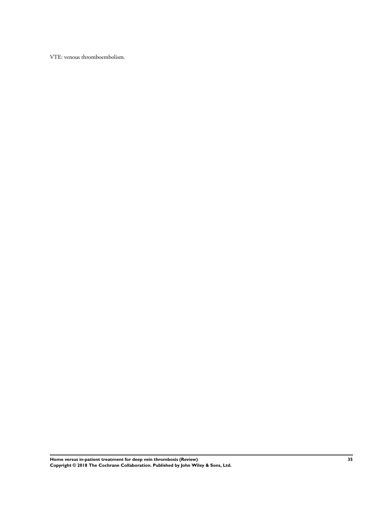VTE: venous thromboembolism.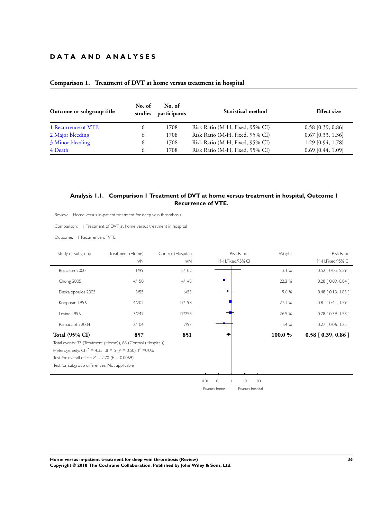## <span id="page-37-0"></span>**D A T A A N D A N A L Y S E S**

| Outcome or subgroup title | No. of<br>studies | No. of<br>participants | <b>Statistical method</b>       | <b>Effect</b> size  |
|---------------------------|-------------------|------------------------|---------------------------------|---------------------|
| 1 Recurrence of VTE       | $\Omega$          | 1708                   | Risk Ratio (M-H, Fixed, 95% CI) | $0.58$ [0.39, 0.86] |
| 2 Major bleeding          | 6                 | 1708                   | Risk Ratio (M-H, Fixed, 95% CI) | $0.67$ [0.33, 1.36] |
| 3 Minor bleeding          | 6                 | 1708                   | Risk Ratio (M-H, Fixed, 95% CI) | 1.29 [0.94, 1.78]   |
| 4 Death                   | 6                 | 1708                   | Risk Ratio (M-H, Fixed, 95% CI) | $0.69$ [0.44, 1.09] |

## **Comparison 1. Treatment of DVT at home versus treatment in hospital**

## **Analysis 1.1. Comparison 1 Treatment of DVT at home versus treatment in hospital, Outcome 1 Recurrence of VTE.**

Review: Home versus in-patient treatment for deep vein thrombosis

Comparison: 1 Treatment of DVT at home versus treatment in hospital

Outcome: 1 Recurrence of VTE

| Study or subgroup                                | Treatment (Home)                                                        | Control (Hospital) |              | <b>Risk Ratio</b>  | Weight | <b>Risk Ratio</b>       |
|--------------------------------------------------|-------------------------------------------------------------------------|--------------------|--------------|--------------------|--------|-------------------------|
|                                                  | n/N                                                                     | n/N                |              | M-H, Fixed, 95% CI |        | M-H, Fixed, 95% CI      |
| Boccalon 2000                                    | 1/99                                                                    | 2/102              |              |                    | 3.1%   | $0.52$ $[0.05, 5.59]$   |
| Chong 2005                                       | 4/150                                                                   | 4/148              |              |                    | 22.2 % | $0.28$ $[0.09, 0.84]$   |
| Daskalopoulos 2005                               | 3/55                                                                    | 6/53               |              |                    | 9.6%   | $0.48$ $[0.13, 1.83]$   |
| Koopman 1996                                     | 14/202                                                                  | 17/198             |              |                    | 27.1%  | $0.81$ $[0.41, 1.59]$   |
| Levine 1996                                      | 13/247                                                                  | 17/253             |              |                    | 26.5 % | $0.78$ $[0.39, 1.58]$   |
| Ramacciotti 2004                                 | 2/104                                                                   | 7/97               |              |                    | 11.4%  | $0.27$ $[0.06, 1.25]$   |
| <b>Total (95% CI)</b>                            | 857                                                                     | 851                |              |                    | 100.0% | $0.58$ [ $0.39, 0.86$ ] |
|                                                  | Total events: 37 (Treatment (Home)), 63 (Control (Hospital))            |                    |              |                    |        |                         |
|                                                  | Heterogeneity: Chi <sup>2</sup> = 4.35, df = 5 (P = 0.50); $1^2$ = 0.0% |                    |              |                    |        |                         |
| Test for overall effect: $Z = 2.70$ (P = 0.0069) |                                                                         |                    |              |                    |        |                         |
| Test for subgroup differences: Not applicable    |                                                                         |                    |              |                    |        |                         |
|                                                  |                                                                         |                    |              |                    |        |                         |
|                                                  |                                                                         |                    | 0.01<br>0.1  | $ 0\rangle$<br>100 |        |                         |
|                                                  |                                                                         |                    | Favours home | Favours hospital   |        |                         |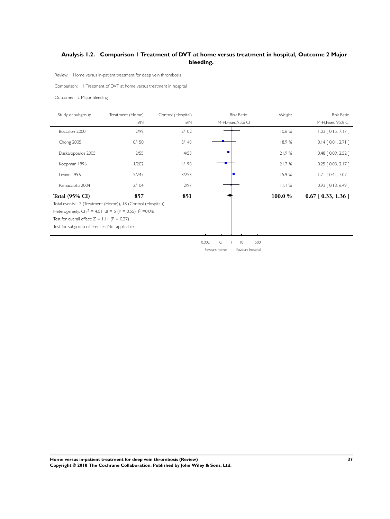## <span id="page-38-0"></span>**Analysis 1.2. Comparison 1 Treatment of DVT at home versus treatment in hospital, Outcome 2 Major bleeding.**

Review: Home versus in-patient treatment for deep vein thrombosis

Comparison: 1 Treatment of DVT at home versus treatment in hospital

Outcome: 2 Major bleeding

| Study or subgroup                                                      | Treatment (Home) | Control (Hospital) | <b>Risk Ratio</b>                               | Weight | <b>Risk Ratio</b>        |  |  |  |
|------------------------------------------------------------------------|------------------|--------------------|-------------------------------------------------|--------|--------------------------|--|--|--|
|                                                                        | n/N              | n/N                | M-H, Fixed, 95% CI                              |        | M-H, Fixed, 95% CI       |  |  |  |
| Boccalon 2000                                                          | 2/99             | 2/102              |                                                 | 10.6 % | $1.03$ $[0.15, 7.17]$    |  |  |  |
| Chong 2005                                                             | 0/150            | 3/148              |                                                 | 18.9%  | $0.14$ $[0.01, 2.71]$    |  |  |  |
| Daskalopoulos 2005                                                     | 2/55             | 4/53               |                                                 | 21.9%  | $0.48$ $[0.09, 2.52]$    |  |  |  |
| Koopman 1996                                                           | 1/202            | 4/198              |                                                 | 21.7%  | $0.25$ $[0.03, 2.17]$    |  |  |  |
| Levine 1996                                                            | 5/247            | 3/253              |                                                 | 15.9%  | $1.71$ $[0.41, 7.07]$    |  |  |  |
| Ramacciotti 2004                                                       | 2/104            | 2/97               |                                                 | 11.1%  | $0.93$ $[0.13, 6.49]$    |  |  |  |
| <b>Total (95% CI)</b>                                                  | 857              | 851                |                                                 | 100.0% | $0.67$ [ $0.33$ , 1.36 ] |  |  |  |
| Total events: 12 (Treatment (Home)), 18 (Control (Hospital))           |                  |                    |                                                 |        |                          |  |  |  |
| Heterogeneity: Chi <sup>2</sup> = 4.01, df = 5 (P = 0.55); $1^2$ =0.0% |                  |                    |                                                 |        |                          |  |  |  |
| Test for overall effect: $Z = 1.11$ (P = 0.27)                         |                  |                    |                                                 |        |                          |  |  |  |
| Test for subgroup differences: Not applicable                          |                  |                    |                                                 |        |                          |  |  |  |
|                                                                        |                  |                    |                                                 |        |                          |  |  |  |
|                                                                        |                  |                    | n nn?<br>$01 \quad 1$<br>500<br>$\overline{10}$ |        |                          |  |  |  |

0.002 0.1 1 10 500 Favours home Favours hospital

**Home versus in-patient treatment for deep vein thrombosis (Review) 37 Copyright © 2018 The Cochrane Collaboration. Published by John Wiley & Sons, Ltd.**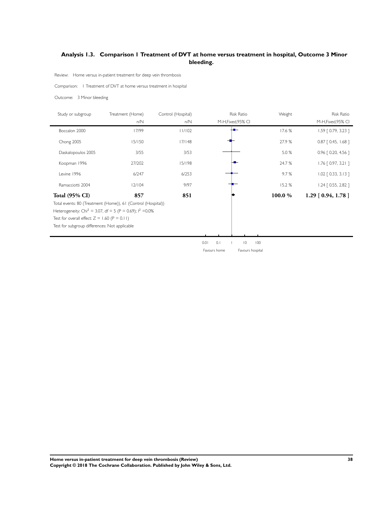## <span id="page-39-0"></span>**Analysis 1.3. Comparison 1 Treatment of DVT at home versus treatment in hospital, Outcome 3 Minor bleeding.**

Review: Home versus in-patient treatment for deep vein thrombosis

Comparison: 1 Treatment of DVT at home versus treatment in hospital

Outcome: 3 Minor bleeding

| Study or subgroup                              | Treatment (Home)                                                        | Control (Hospital) | <b>Risk Ratio</b>                    | Weight | Risk Ratio              |
|------------------------------------------------|-------------------------------------------------------------------------|--------------------|--------------------------------------|--------|-------------------------|
|                                                | n/N                                                                     | n/N                | M-H, Fixed, 95% CI                   |        | M-H, Fixed, 95% CI      |
| Boccalon 2000                                  | 17/99                                                                   | 11/102             |                                      | 17.6 % | $1.59$ $[0.79, 3.23]$   |
| Chong 2005                                     | 15/150                                                                  | 17/148             |                                      | 27.9 % | $0.87$ $[$ 0.45, 1.68 ] |
| Daskalopoulos 2005                             | 3/55                                                                    | 3/53               |                                      | 5.0 %  | $0.96$ $[0.20, 4.56]$   |
| Koopman 1996                                   | 27/202                                                                  | 15/198             |                                      | 24.7 % | $1.76$ $[0.97, 3.21]$   |
| Levine 1996                                    | 6/247                                                                   | 6/253              |                                      | 9.7%   | $1.02$ $[0.33, 3.13]$   |
| Ramacciotti 2004                               | 12/104                                                                  | 9/97               |                                      | 15.2%  | $1.24$ $[0.55, 2.82]$   |
| <b>Total (95% CI)</b>                          | 857                                                                     | 851                |                                      | 100.0% | $1.29$ [ 0.94, 1.78 ]   |
|                                                | Total events: 80 (Treatment (Home)), 61 (Control (Hospital))            |                    |                                      |        |                         |
|                                                | Heterogeneity: Chi <sup>2</sup> = 3.07, df = 5 (P = 0.69); $1^2$ = 0.0% |                    |                                      |        |                         |
| Test for overall effect: $Z = 1.60$ (P = 0.11) |                                                                         |                    |                                      |        |                         |
| Test for subgroup differences: Not applicable  |                                                                         |                    |                                      |        |                         |
|                                                |                                                                         |                    |                                      |        |                         |
|                                                |                                                                         |                    | 0.1<br>$\overline{0}$<br>0.01<br>100 |        |                         |
|                                                |                                                                         |                    | Favours home<br>Favours hospital     |        |                         |

**Home versus in-patient treatment for deep vein thrombosis (Review) 38 Copyright © 2018 The Cochrane Collaboration. Published by John Wiley & Sons, Ltd.**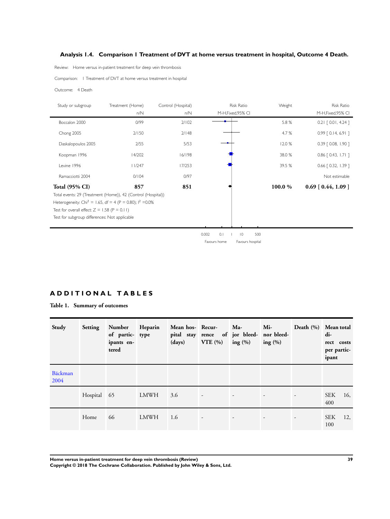## <span id="page-40-0"></span>**Analysis 1.4. Comparison 1 Treatment of DVT at home versus treatment in hospital, Outcome 4 Death.**

Review: Home versus in-patient treatment for deep vein thrombosis

Comparison: 1 Treatment of DVT at home versus treatment in hospital

#### Outcome: 4 Death

| Study or subgroup                              | Treatment (Home)                                                        | Control (Hospital) |              | <b>Risk Ratio</b>     | Weight | <b>Risk Ratio</b>        |
|------------------------------------------------|-------------------------------------------------------------------------|--------------------|--------------|-----------------------|--------|--------------------------|
|                                                | n/N                                                                     | n/N                |              | M-H, Fixed, 95% CI    |        | M-H, Fixed, 95% CI       |
| Boccalon 2000                                  | 0/99                                                                    | 2/102              |              |                       | 5.8 %  | $0.21$ $[0.01, 4.24]$    |
| Chong 2005                                     | 2/150                                                                   | 2/148              |              |                       | 4.7%   | $0.99$ $[0.14, 6.91]$    |
| Daskalopoulos 2005                             | 2/55                                                                    | 5/53               |              |                       | 12.0%  | $0.39$ $[0.08, 1.90]$    |
| Koopman 1996                                   | 14/202                                                                  | 16/198             |              |                       | 38.0 % | $0.86$ [ 0.43, 1.71 ]    |
| Levine 1996                                    | 11/247                                                                  | 17/253             |              |                       | 39.5 % | $0.66$ $[0.32, 1.39]$    |
| Ramacciotti 2004                               | 0/104                                                                   | 0/97               |              |                       |        | Not estimable            |
| <b>Total (95% CI)</b>                          | 857                                                                     | 851                |              |                       | 100.0% | $0.69$ [ $0.44$ , 1.09 ] |
|                                                | Total events: 29 (Treatment (Home)), 42 (Control (Hospital))            |                    |              |                       |        |                          |
|                                                | Heterogeneity: Chi <sup>2</sup> = 1.65, df = 4 (P = 0.80); $1^2$ = 0.0% |                    |              |                       |        |                          |
| Test for overall effect: $Z = 1.58$ (P = 0.11) |                                                                         |                    |              |                       |        |                          |
| Test for subgroup differences: Not applicable  |                                                                         |                    |              |                       |        |                          |
|                                                |                                                                         |                    |              |                       |        |                          |
|                                                |                                                                         |                    | 0.1<br>0.002 | 500<br>$\overline{0}$ |        |                          |
|                                                |                                                                         |                    | Favours home | Favours hospital      |        |                          |

## **A D D I T I O N A L T A B L E S**

**Table 1. Summary of outcomes**

| Study           | Setting     | Number<br>of partic- type<br>ipants en-<br>tered | Heparin     | Mean hos-Recur-<br>(days) | pital stay rence of jor bleed- nor bleed-<br>VTE(%) | $Ma-$<br>ing $(\%)$      | Mi<br>ing $(\% )$ | Death (%) Mean total     | di-<br>rect costs<br>per partic-<br>ipant |
|-----------------|-------------|--------------------------------------------------|-------------|---------------------------|-----------------------------------------------------|--------------------------|-------------------|--------------------------|-------------------------------------------|
| Bäckman<br>2004 |             |                                                  |             |                           |                                                     |                          |                   |                          |                                           |
|                 | Hospital 65 |                                                  | LMWH        | 3.6                       | $\overline{\phantom{a}}$                            | $\overline{\phantom{a}}$ |                   | $\overline{\phantom{a}}$ | <b>SEK</b><br>16,<br>400                  |
|                 | Home        | 66                                               | <b>LMWH</b> | 1.6                       | $\overline{\phantom{a}}$                            | $\overline{\phantom{a}}$ |                   | $\overline{\phantom{a}}$ | <b>SEK</b><br>12,<br>100                  |

**Home versus in-patient treatment for deep vein thrombosis (Review) 39**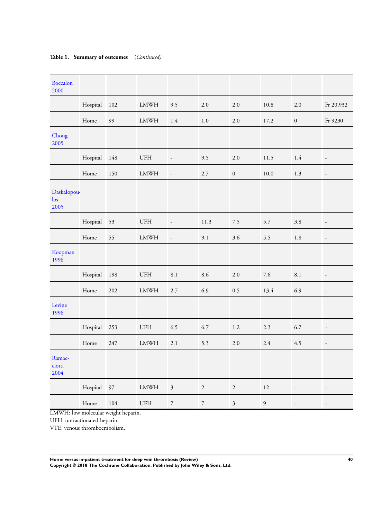| Hospital    | 102    | ${\rm LMWH}$                | 9.5                         | 2.0              | $2.0\,$          | 10.8           | 2.0                      | Fr 20,932                |
|-------------|--------|-----------------------------|-----------------------------|------------------|------------------|----------------|--------------------------|--------------------------|
| Home        | 99     | ${\rm LMWH}$                | 1.4                         | $1.0\,$          | 2.0              | 17.2           | $\boldsymbol{0}$         | Fr 9230                  |
|             |        |                             |                             |                  |                  |                |                          |                          |
| Hospital    | 148    | $\ensuremath{\mathsf{UFH}}$ | $\overline{\phantom{a}}$    | 9.5              | 2.0              | 11.5           | 1.4                      | $\overline{\phantom{a}}$ |
| Home        | 150    | <b>LMWH</b>                 | $\overline{\phantom{a}}$    | 2.7              | $\boldsymbol{0}$ | 10.0           | 1.3                      | $\overline{\phantom{a}}$ |
| Daskalopou- |        |                             |                             |                  |                  |                |                          |                          |
| Hospital    | 53     | $\ensuremath{\mathsf{UFH}}$ | $\overline{\phantom{a}}$    | 11.3             | $7.5\,$          | 5.7            | 3.8                      | $\overline{\phantom{a}}$ |
| Home        | 55     | <b>LMWH</b>                 | $\overline{\phantom{a}}$    | 9.1              | 3.6              | 5.5            | 1.8                      | $\overline{\phantom{a}}$ |
|             |        |                             |                             |                  |                  |                |                          |                          |
| Hospital    | 198    | <b>UFH</b>                  | 8.1                         | 8.6              | $2.0\,$          | 7.6            | 8.1                      | $\overline{\phantom{a}}$ |
| Home        | 202    | <b>LMWH</b>                 | 2.7                         | 6.9              | 0.5              | 13.4           | 6.9                      | $\overline{\phantom{a}}$ |
|             |        |                             |                             |                  |                  |                |                          |                          |
| Hospital    | 253    | UFH                         | 6.5                         | 6.7              | $1.2\,$          | 2.3            | 6.7                      | $\overline{\phantom{a}}$ |
| Home        | 247    | ${\rm LMWH}$                | 2.1                         | 5.3              | 2.0              | 2.4            | 4.5                      | $\overline{\phantom{a}}$ |
|             |        |                             |                             |                  |                  |                |                          |                          |
| Hospital    | $97\,$ | ${\rm LMWH}$                | $\ensuremath{\mathfrak{Z}}$ | $\sqrt{2}$       | $\sqrt{2}$       | 12             | $\overline{\phantom{a}}$ | $\overline{\phantom{a}}$ |
| Home        | 104    | <b>UFH</b>                  | $\boldsymbol{7}$            | $\boldsymbol{7}$ | $\mathfrak{Z}$   | $\mathfrak{g}$ | $\overline{\phantom{a}}$ | $\overline{\phantom{a}}$ |
|             |        |                             |                             |                  |                  |                |                          |                          |

## <span id="page-41-0"></span>**Table 1. Summary of outcomes** (*Continued)*

LMWH: low molecular weight heparin.

UFH: unfractionated heparin.

VTE: venous thromboembolism.

**Home versus in-patient treatment for deep vein thrombosis (Review) 40**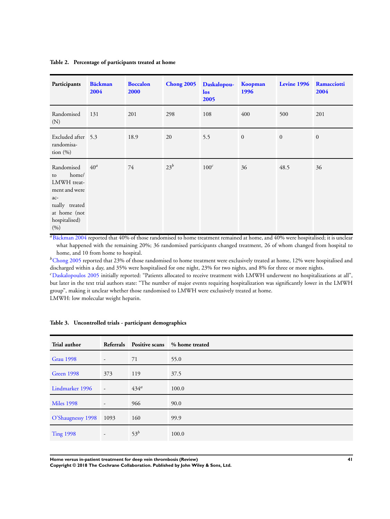## <span id="page-42-0"></span>**Table 2. Percentage of participants treated at home**

| Participants                                                                                                                 | <b>Bäckman</b><br>2004 | <b>Boccalon</b><br>2000 | <b>Chong 2005</b> | Daskalopou-<br>los<br>2005 | Koopman<br>1996 | Levine 1996  | Ramacciotti<br>2004 |
|------------------------------------------------------------------------------------------------------------------------------|------------------------|-------------------------|-------------------|----------------------------|-----------------|--------------|---------------------|
| Randomised<br>(N)                                                                                                            | 131                    | 201                     | 298               | 108                        | 400             | 500          | 201                 |
| Excluded after 5.3<br>randomisa-<br>tion $(\% )$                                                                             |                        | 18.9                    | 20                | 5.5                        | $\mathbf{0}$    | $\mathbf{0}$ | $\mathbf{0}$        |
| Randomised<br>home/<br>to<br>LMWH treat-<br>ment and were<br>$ac-$<br>tually treated<br>at home (not<br>hospitalised)<br>(%) | 40 <sup>a</sup>        | 74                      | $23^b$            | $100^c$                    | 36              | 48.5         | 36                  |

<sup>a</sup>[Bäckman 2004](#page-19-0) reported that 40% of those randomised to home treatment remained at home, and 40% were hospitalised; it is unclear what happened with the remaining 20%; 36 randomised participants changed treatment, 26 of whom changed from hospital to home, and 10 from home to hospital.

 $b$ [Chong 2005](#page-19-0) reported that 23% of those randomised to home treatment were exclusively treated at home, 12% were hospitalised and discharged within a day, and 35% were hospitalised for one night, 23% for two nights, and 8% for three or more nights. <sup>c</sup>[Daskalopoulos 2005](#page-19-0) initially reported: "Patients allocated to receive treatment with LMWH underwent no hospitalizations at all", but later in the text trial authors state: "The number of major events requiring hospitalization was significantly lower in the LMWH group", making it unclear whether those randomised to LMWH were exclusively treated at home. LMWH: low molecular weight heparin.

| Trial author           | Referrals                | <b>Positive scans</b> | % home treated |
|------------------------|--------------------------|-----------------------|----------------|
| <b>Grau 1998</b>       | $\overline{\phantom{a}}$ | 71                    | 55.0           |
| Green 1998             | 373                      | 119                   | 37.5           |
| Lindmarker 1996        | $\sim$                   | $434^a$               | 100.0          |
| <b>Miles 1998</b>      | $\overline{\phantom{a}}$ | 966                   | 90.0           |
| O'Shaugnessy 1998 1093 |                          | 160                   | 99.9           |
| <b>Ting 1998</b>       |                          | $53^b$                | 100.0          |

#### **Table 3. Uncontrolled trials - participant demographics**

**Home versus in-patient treatment for deep vein thrombosis (Review) 41**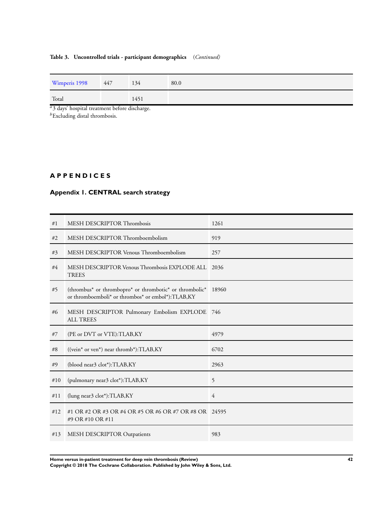## <span id="page-43-0"></span>**Table 3. Uncontrolled trials - participant demographics** (*Continued)*

| Wimperis 1998 | 447 | 134  | 80.0 |
|---------------|-----|------|------|
| Total         |     | 1451 |      |

<sup>a</sup>3 days' hospital treatment before discharge.

 $b$ Excluding distal thrombosis.

## **A P P E N D I C E S**

## **Appendix 1. CENTRAL search strategy**

| #1  | MESH DESCRIPTOR Thrombosis                                                                                                                                    | 1261  |
|-----|---------------------------------------------------------------------------------------------------------------------------------------------------------------|-------|
| #2  | MESH DESCRIPTOR Thromboembolism                                                                                                                               | 919   |
| #3  | MESH DESCRIPTOR Venous Thromboembolism                                                                                                                        | 257   |
| #4  | MESH DESCRIPTOR Venous Thrombosis EXPLODE ALL<br><b>TREES</b>                                                                                                 | 2036  |
| #5  | (thrombus <sup>*</sup> or thrombopro <sup>*</sup> or thrombotic <sup>*</sup> or thrombolic <sup>*</sup><br>or thromboemboli* or thrombos* or embol*):TI,AB,KY | 18960 |
| #6  | MESH DESCRIPTOR Pulmonary Embolism EXPLODE 746<br><b>ALL TREES</b>                                                                                            |       |
| #7  | (PE or DVT or VTE): TI, AB, KY                                                                                                                                | 4979  |
| #8  | $((vein* or ven*)$ near thromb*): $TI, AB, KY$                                                                                                                | 6702  |
| #9  | (blood near3 clot*):TI,AB,KY                                                                                                                                  | 2963  |
| #10 | (pulmonary near3 clot*):TI,AB,KY                                                                                                                              | 5     |
| #11 | (lung near3 clot*):TI,AB,KY                                                                                                                                   | 4     |
| #12 | #1 OR #2 OR #3 OR #4 OR #5 OR #6 OR #7 OR #8 OR 24595<br>#9 OR #10 OR #11                                                                                     |       |
| #13 | MESH DESCRIPTOR Outpatients                                                                                                                                   | 983   |

**Home versus in-patient treatment for deep vein thrombosis (Review) 42**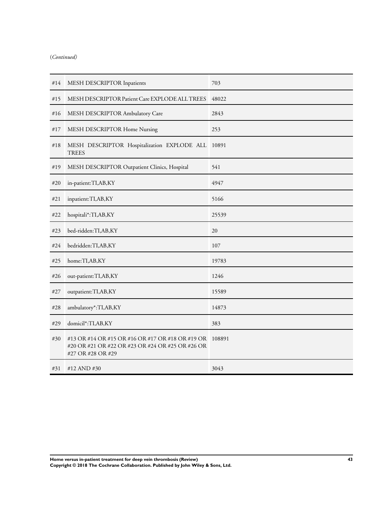## (*Continued)*

| #14 | MESH DESCRIPTOR Inpatients                                                                                                | 703    |
|-----|---------------------------------------------------------------------------------------------------------------------------|--------|
| #15 | MESH DESCRIPTOR Patient Care EXPLODE ALL TREES                                                                            | 48022  |
| #16 | MESH DESCRIPTOR Ambulatory Care                                                                                           | 2843   |
| #17 | MESH DESCRIPTOR Home Nursing                                                                                              | 253    |
| #18 | MESH DESCRIPTOR Hospitalization EXPLODE ALL<br><b>TREES</b>                                                               | 10891  |
| #19 | MESH DESCRIPTOR Outpatient Clinics, Hospital                                                                              | 541    |
| #20 | in-patient:TI,AB,KY                                                                                                       | 4947   |
| #21 | inpatient:TI,AB,KY                                                                                                        | 5166   |
| #22 | hospitali*:TI,AB,KY                                                                                                       | 25539  |
| #23 | bed-ridden:TI,AB,KY                                                                                                       | 20     |
| #24 | bedridden:TI,AB,KY                                                                                                        | 107    |
| #25 | home:TI,AB,KY                                                                                                             | 19783  |
| #26 | out-patient:TI,AB,KY                                                                                                      | 1246   |
| #27 | outpatient:TI,AB,KY                                                                                                       | 15589  |
| #28 | ambulatory*:TI,AB,KY                                                                                                      | 14873  |
| #29 | domicil*:TI,AB,KY                                                                                                         | 383    |
| #30 | #13 OR #14 OR #15 OR #16 OR #17 OR #18 OR #19 OR<br>#20 OR #21 OR #22 OR #23 OR #24 OR #25 OR #26 OR<br>#27 OR #28 OR #29 | 108891 |
| #31 | #12 AND #30                                                                                                               | 3043   |

**Home versus in-patient treatment for deep vein thrombosis (Review) 43 Copyright © 2018 The Cochrane Collaboration. Published by John Wiley & Sons, Ltd.**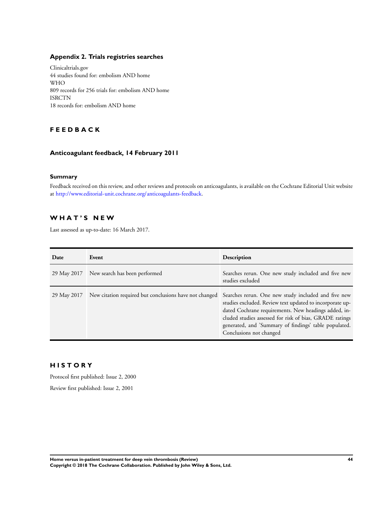## <span id="page-45-0"></span>**Appendix 2. Trials registries searches**

Clinicaltrials.gov 44 studies found for: embolism AND home WHO 809 records for 256 trials for: embolism AND home ISRCTN 18 records for: embolism AND home

## **F E E D B A C K**

## **Anticoagulant feedback, 14 February 2011**

## **Summary**

Feedback received on this review, and other reviews and protocols on anticoagulants, is available on the Cochrane Editorial Unit website at <http://www.editorial-unit.cochrane.org/anticoagulants-feedback>.

## **W H A T ' S N E W**

Last assessed as up-to-date: 16 March 2017.

| Date        | Event                                                  | Description                                                                                                                                                                                                                                                                                                            |
|-------------|--------------------------------------------------------|------------------------------------------------------------------------------------------------------------------------------------------------------------------------------------------------------------------------------------------------------------------------------------------------------------------------|
| 29 May 2017 | New search has been performed                          | Searches rerun. One new study included and five new<br>studies excluded                                                                                                                                                                                                                                                |
| 29 May 2017 | New citation required but conclusions have not changed | Searches rerun. One new study included and five new<br>studies excluded. Review text updated to incorporate up-<br>dated Cochrane requirements. New headings added, in-<br>cluded studies assessed for risk of bias, GRADE ratings<br>generated, and 'Summary of findings' table populated.<br>Conclusions not changed |

## **H I S T O R Y**

Protocol first published: Issue 2, 2000

Review first published: Issue 2, 2001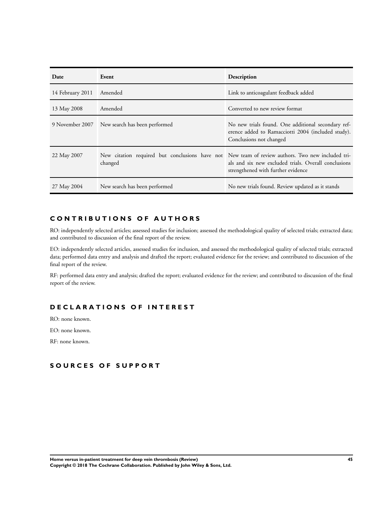| Date             | Event                                         | Description                                                                                                                                                                                    |
|------------------|-----------------------------------------------|------------------------------------------------------------------------------------------------------------------------------------------------------------------------------------------------|
| 14 February 2011 | Amended                                       | Link to anticoagulant feedback added                                                                                                                                                           |
| 13 May 2008      | Amended                                       | Converted to new review format                                                                                                                                                                 |
|                  | 9 November 2007 New search has been performed | No new trials found. One additional secondary ref-<br>erence added to Ramacciotti 2004 (included study).<br>Conclusions not changed                                                            |
| 22 May 2007      | changed                                       | New citation required but conclusions have not New team of review authors. Two new included tri-<br>als and six new excluded trials. Overall conclusions<br>strengthened with further evidence |
| 27 May 2004      | New search has been performed                 | No new trials found. Review updated as it stands                                                                                                                                               |

## **C O N T R I B U T I O N S O F A U T H O R S**

RO: independently selected articles; assessed studies for inclusion; assessed the methodological quality of selected trials; extracted data; and contributed to discussion of the final report of the review.

EO: independently selected articles, assessed studies for inclusion, and assessed the methodological quality of selected trials; extracted data; performed data entry and analysis and drafted the report; evaluated evidence for the review; and contributed to discussion of the final report of the review.

RF: performed data entry and analysis; drafted the report; evaluated evidence for the review; and contributed to discussion of the final report of the review.

## **D E C L A R A T I O N S O F I N T E R E S T**

RO: none known.

EO: none known.

RF: none known.

## **S O U R C E S O F S U P P O R T**